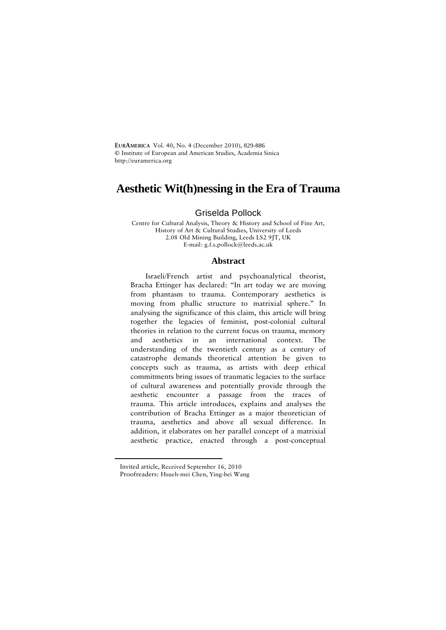**EURAMERICA** Vol. 40, No. 4 (December 2010), 829-886 **©** Institute of European and American Studies, Academia Sinica http://euramerica.org

# **Aesthetic Wit(h)nessing in the Era of Trauma**

## Griselda Pollock

Centre for Cultural Analysis, Theory & History and School of Fine Art, History of Art & Cultural Studies, University of Leeds 2.08 Old Mining Building, Leeds LS2 9JT, UK E-mail: [g.f.s.pollock@leeds.ac.uk](mailto:g.f.s.pollock@leeds.ac.uk) 

### **Abstract**

Israeli/French artist and psychoanalytical theorist, Bracha Ettinger has declared: "In art today we are moving from phantasm to trauma. Contemporary aesthetics is moving from phallic structure to matrixial sphere." In analysing the significance of this claim, this article will bring together the legacies of feminist, post-colonial cultural theories in relation to the current focus on trauma, memory and aesthetics in an international context. The understanding of the twentieth century as a century of catastrophe demands theoretical attention be given to concepts such as trauma, as artists with deep ethical commitments bring issues of traumatic legacies to the surface of cultural awareness and potentially provide through the aesthetic encounter a passage from the traces of trauma. This article introduces, explains and analyses the contribution of Bracha Ettinger as a major theoretician of trauma, aesthetics and above all sexual difference. In addition, it elaborates on her parallel concept of a matrixial aesthetic practice, enacted through a post-conceptual

<span id="page-0-0"></span> $\overline{a}$ 

Invited article, Received September 16, 2010

Proofreaders: Hsueh-mei Chen, Ying-bei Wang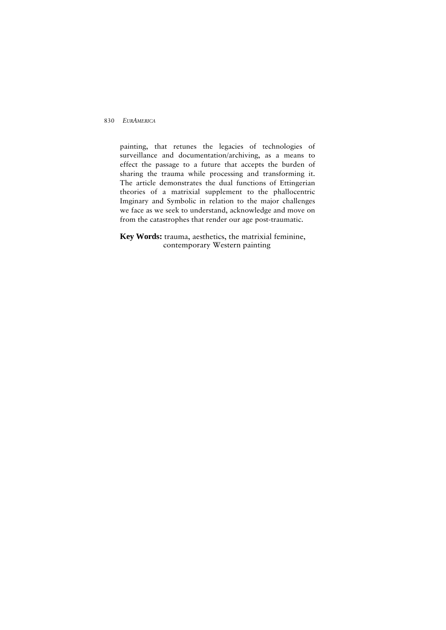painting, that retunes the legacies of technologies of surveillance and documentation/archiving, as a means to effect the passage to a future that accepts the burden of sharing the trauma while processing and transforming it. The article demonstrates the dual functions of Ettingerian theories of a matrixial supplement to the phallocentric Imginary and Symbolic in relation to the major challenges we face as we seek to understand, acknowledge and move on from the catastrophes that render our age post-traumatic.

**Key Words:** trauma, aesthetics, the matrixial feminine, contemporary Western painting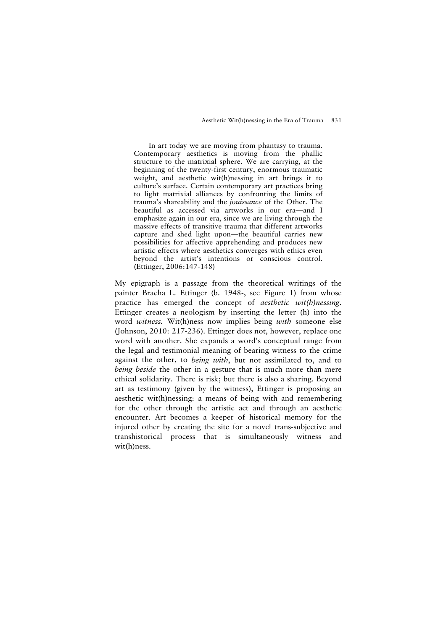In art today we are moving from phantasy to trauma. Contemporary aesthetics is moving from the phallic structure to the matrixial sphere. We are carrying, at the beginning of the twenty-first century, enormous traumatic weight, and aesthetic wit(h)nessing in art brings it to culture's surface. Certain contemporary art practices bring to light matrixial alliances by confronting the limits of trauma's shareability and the *jouissance* of the Other. The beautiful as accessed via artworks in our era—and I emphasize again in our era, since we are living through the massive effects of transitive trauma that different artworks capture and shed light upon—the beautiful carries new possibilities for affective apprehending and produces new artistic effects where aesthetics converges with ethics even beyond the artist's intentions or conscious control. (Ettinger, 2006:147-148)

My epigraph is a passage from the theoretical writings of the painter Bracha L. Ettinger (b. 1948-, see Figure 1) from whose practice has emerged the concept of *aesthetic wit(h)nessing*. Ettinger creates a neologism by inserting the letter (h) into the word *witness.* Wit(h)ness now implies being *with* someone else (Johnson, 2010: 217-236). Ettinger does not, however, replace one word with another. She expands a word's conceptual range from the legal and testimonial meaning of bearing witness to the crime against the other, to *being with*, but not assimilated to, and to *being beside* the other in a gesture that is much more than mere ethical solidarity. There is risk; but there is also a sharing. Beyond art as testimony (given by the witness), Ettinger is proposing an aesthetic wit(h)nessing: a means of being with and remembering for the other through the artistic act and through an aesthetic encounter. Art becomes a keeper of historical memory for the injured other by creating the site for a novel trans-subjective and transhistorical process that is simultaneously witness and wit(h)ness.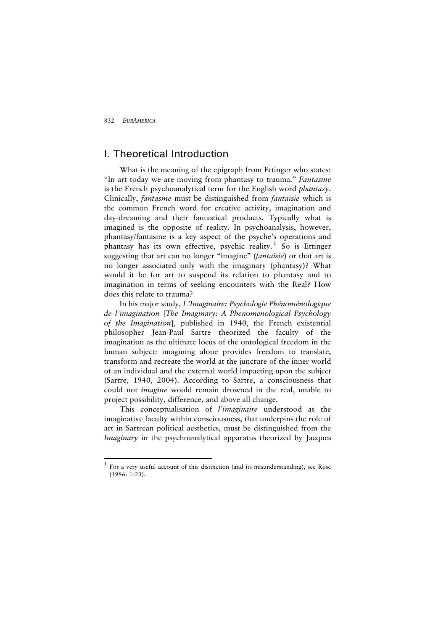$\overline{a}$ 

## I. Theoretical Introduction

What is the meaning of the epigraph from Ettinger who states: "In art today we are moving from phantasy to trauma." *Fantasme*  is the French psychoanalytical term for the English word *phantasy*. Clinically, *fantasme* must be distinguished from *fantaisie* which is the common French word for creative activity, imagination and day-dreaming and their fantastical products. Typically what is imagined is the opposite of reality. In psychoanalysis, however, phantasy/fantasme is a key aspect of the psyche's operations and phantasy has its own effective, psychic reality.<sup>[1](#page-3-0)</sup> So is Ettinger suggesting that art can no longer "imagine" (*fantaisie*) or that art is no longer associated only with the imaginary (phantasy)? What would it be for art to suspend its relation to phantasy and to imagination in terms of seeking encounters with the Real? How does this relate to trauma?

In his major study, *L'Imaginaire: Psychologie Phénoménologique de l'imagination* [*The Imaginary: A Phenomenological Psychology of the Imagination*], published in 1940, the French existential philosopher Jean-Paul Sartre theorized the faculty of the imagination as the ultimate locus of the ontological freedom in the human subject: imagining alone provides freedom to translate, transform and recreate the world at the juncture of the inner world of an individual and the external world impacting upon the subject (Sartre, 1940, 2004). According to Sartre, a consciousness that could not *imagine* would remain drowned in the real, unable to project possibility, difference, and above all change.

This conceptualisation of *l'imaginaire* understood as the imaginative faculty within consciousness, that underpins the role of art in Sartrean political aesthetics, must be distinguished from the *Imaginary* in the psychoanalytical apparatus theorized by Jacques

<span id="page-3-0"></span><sup>1</sup> For a very useful account of this distinction (and its misunderstanding), see Rose  $(1986.123)$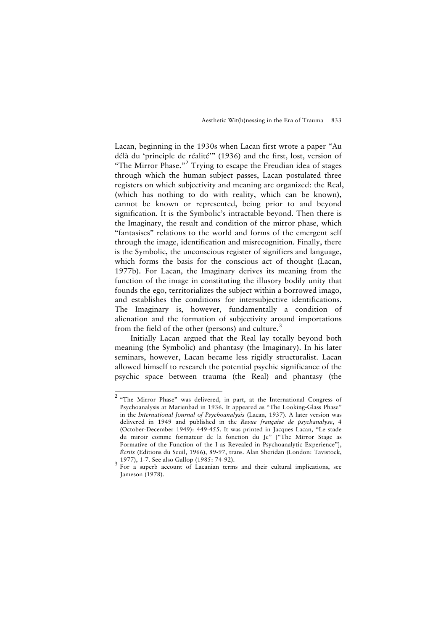Lacan, beginning in the 1930s when Lacan first wrote a paper "Au délà du 'principle de réalité'" (1936) and the first, lost, version of "The Mirror Phase."<sup>[2](#page-4-0)</sup> Trying to escape the Freudian idea of stages through which the human subject passes, Lacan postulated three registers on which subjectivity and meaning are organized: the Real, (which has nothing to do with reality, which can be known), cannot be known or represented, being prior to and beyond signification. It is the Symbolic's intractable beyond. Then there is the Imaginary, the result and condition of the mirror phase, which "fantasises" relations to the world and forms of the emergent self through the image, identification and misrecognition. Finally, there is the Symbolic, the unconscious register of signifiers and language, which forms the basis for the conscious act of thought (Lacan, 1977b). For Lacan, the Imaginary derives its meaning from the function of the image in constituting the illusory bodily unity that founds the ego, territorializes the subject within a borrowed imago, and establishes the conditions for intersubjective identifications. The Imaginary is, however, fundamentally a condition of alienation and the formation of subjectivity around importations from the field of the other (persons) and culture.<sup>[3](#page-4-1)</sup>

Initially Lacan argued that the Real lay totally beyond both meaning (the Symbolic) and phantasy (the Imaginary). In his later seminars, however, Lacan became less rigidly structuralist. Lacan allowed himself to research the potential psychic significance of the psychic space between trauma (the Real) and phantasy (the

<span id="page-4-0"></span><sup>&</sup>lt;sup>2</sup> "The Mirror Phase" was delivered, in part, at the International Congress of Psychoanalysis at Marienbad in 1936. It appeared as "The Looking-Glass Phase" in the *International Journal of Psychoanalysis* (Lacan, 1937). A later version was delivered in 1949 and published in the *Revue française de psychanalyse*, 4 (October-December 1949): 449-455. It was printed in Jacques Lacan, "Le stade du miroir comme formateur de la fonction du Je" ["The Mirror Stage as Formative of the Function of the I as Revealed in Psychoanalytic Experience"], *Écrits* (Editions du Seuil, 1966), 89-97, trans. Alan Sheridan (London: Tavistock,

<span id="page-4-1"></span><sup>3 1977), 1-7.</sup> See also Gallop (1985: 74-92).<br><sup>3</sup> For a superb account of Lacanian terms and their cultural implications, see Jameson (1978).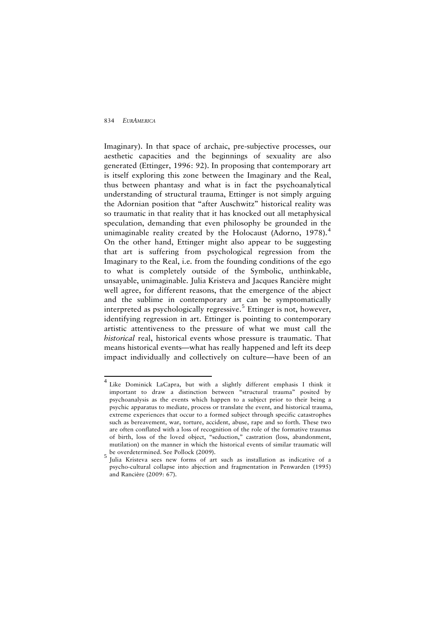Imaginary). In that space of archaic, pre-subjective processes, our aesthetic capacities and the beginnings of sexuality are also generated (Ettinger, 1996: 92). In proposing that contemporary art is itself exploring this zone between the Imaginary and the Real, thus between phantasy and what is in fact the psychoanalytical understanding of structural trauma, Ettinger is not simply arguing the Adornian position that "after Auschwitz" historical reality was so traumatic in that reality that it has knocked out all metaphysical speculation, demanding that even philosophy be grounded in the unimaginable reality created by the Holocaust (Adorno, 1978).<sup>[4](#page-5-0)</sup> On the other hand, Ettinger might also appear to be suggesting that art is suffering from psychological regression from the Imaginary to the Real, i.e. from the founding conditions of the ego to what is completely outside of the Symbolic, unthinkable, unsayable, unimaginable. Julia Kristeva and Jacques Rancière might well agree, for different reasons, that the emergence of the abject and the sublime in contemporary art can be symptomatically interpreted as psychologically regressive.<sup>[5](#page-5-1)</sup> Ettinger is not, however, identifying regression in art. Ettinger is pointing to contemporary artistic attentiveness to the pressure of what we must call the *historical* real, historical events whose pressure is traumatic. That means historical events—what has really happened and left its deep impact individually and collectively on culture—have been of an

<span id="page-5-0"></span> 4 Like Dominick LaCapra, but with a slightly different emphasis I think it important to draw a distinction between "structural trauma" posited by psychoanalysis as the events which happen to a subject prior to their being a psychic apparatus to mediate, process or translate the event, and historical trauma, extreme experiences that occur to a formed subject through specific catastrophes such as bereavement, war, torture, accident, abuse, rape and so forth. These two are often conflated with a loss of recognition of the role of the formative traumas of birth, loss of the loved object, "seduction," castration (loss, abandonment, mutilation) on the manner in which the historical events of similar traumatic will be overdetermined. See Pollock (2009).

<span id="page-5-1"></span>Julia Kristeva sees new forms of art such as installation as indicative of a psycho-cultural collapse into abjection and fragmentation in Penwarden (1995) and Rancière (2009: 67).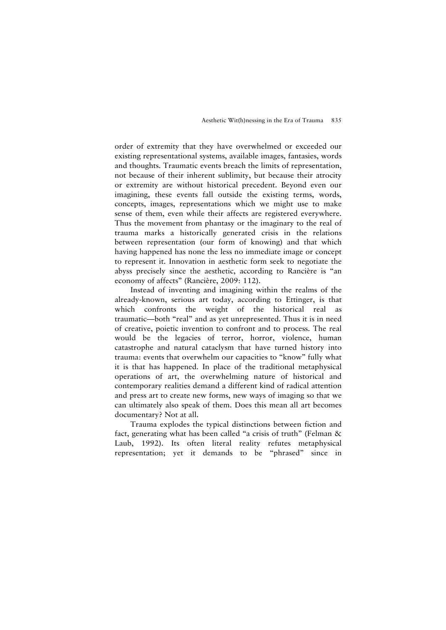order of extremity that they have overwhelmed or exceeded our existing representational systems, available images, fantasies, words and thoughts. Traumatic events breach the limits of representation, not because of their inherent sublimity, but because their atrocity or extremity are without historical precedent. Beyond even our imagining, these events fall outside the existing terms, words, concepts, images, representations which we might use to make sense of them, even while their affects are registered everywhere. Thus the movement from phantasy or the imaginary to the real of trauma marks a historically generated crisis in the relations between representation (our form of knowing) and that which having happened has none the less no immediate image or concept to represent it. Innovation in aesthetic form seek to negotiate the abyss precisely since the aesthetic, according to Rancière is "an economy of affects" (Rancière, 2009: 112).

Instead of inventing and imagining within the realms of the already-known, serious art today, according to Ettinger, is that which confronts the weight of the historical real as traumatic—both "real" and as yet unrepresented. Thus it is in need of creative, poietic invention to confront and to process. The real would be the legacies of terror, horror, violence, human catastrophe and natural cataclysm that have turned history into trauma: events that overwhelm our capacities to "know" fully what it is that has happened. In place of the traditional metaphysical operations of art, the overwhelming nature of historical and contemporary realities demand a different kind of radical attention and press art to create new forms, new ways of imaging so that we can ultimately also speak of them. Does this mean all art becomes documentary? Not at all.

Trauma explodes the typical distinctions between fiction and fact, generating what has been called "a crisis of truth" (Felman & Laub, 1992). Its often literal reality refutes metaphysical representation; yet it demands to be "phrased" since in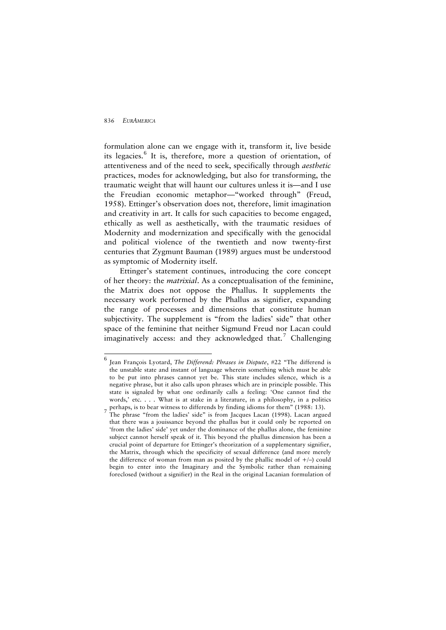formulation alone can we engage with it, transform it, live beside its legacies.<sup>[6](#page-7-0)</sup> It is, therefore, more a question of orientation, of attentiveness and of the need to seek, specifically through *aesthetic* practices, modes for acknowledging, but also for transforming, the traumatic weight that will haunt our cultures unless it is—and I use the Freudian economic metaphor—"worked through" (Freud, 1958). Ettinger's observation does not, therefore, limit imagination and creativity in art. It calls for such capacities to become engaged, ethically as well as aesthetically, with the traumatic residues of Modernity and modernization and specifically with the genocidal and political violence of the twentieth and now twenty-first centuries that Zygmunt Bauman (1989) argues must be understood as symptomic of Modernity itself.

Ettinger's statement continues, introducing the core concept of her theory: the *matrixial*. As a conceptualisation of the feminine, the Matrix does not oppose the Phallus. It supplements the necessary work performed by the Phallus as signifier, expanding the range of processes and dimensions that constitute human subjectivity. The supplement is "from the ladies' side" that other space of the feminine that neither Sigmund Freud nor Lacan could imaginatively access: and they acknowledged that.<sup>[7](#page-7-1)</sup> Challenging

<span id="page-7-0"></span><sup>&</sup>lt;sup>6</sup> Jean François Lyotard, *The Differend: Phrases in Dispute*, #22 "The differend is the unstable state and instant of language wherein something which must be able to be put into phrases cannot yet be. This state includes silence, which is a negative phrase, but it also calls upon phrases which are in principle possible. This state is signaled by what one ordinarily calls a feeling: 'One cannot find the words,' etc. . . . What is at stake in a literature, in a philosophy, in a politics  $\tau$  perhaps, is to bear witness to differends by finding idioms for them" (1988: 13).

<span id="page-7-1"></span>The phrase "from the ladies' side" is from Jacques Lacan (1998). Lacan argued that there was a jouissance beyond the phallus but it could only be reported on 'from the ladies' side' yet under the dominance of the phallus alone, the feminine subject cannot herself speak of it. This beyond the phallus dimension has been a crucial point of departure for Ettinger's theorization of a supplementary signifier, the Matrix, through which the specificity of sexual difference (and more merely the difference of woman from man as posited by the phallic model of  $+/-$ ) could begin to enter into the Imaginary and the Symbolic rather than remaining foreclosed (without a signifier) in the Real in the original Lacanian formulation of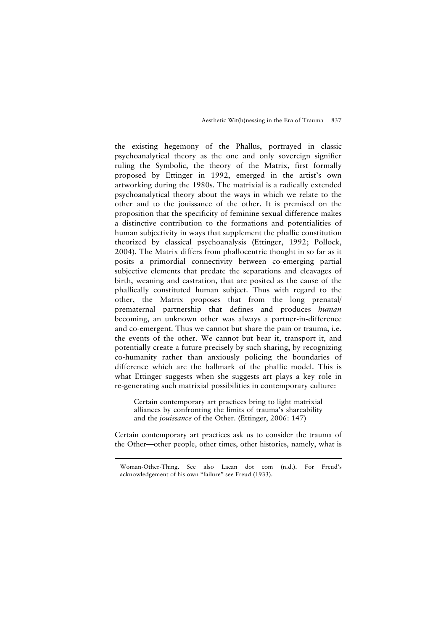the existing hegemony of the Phallus, portrayed in classic psychoanalytical theory as the one and only sovereign signifier ruling the Symbolic, the theory of the Matrix, first formally proposed by Ettinger in 1992, emerged in the artist's own artworking during the 1980s. The matrixial is a radically extended psychoanalytical theory about the ways in which we relate to the other and to the jouissance of the other. It is premised on the proposition that the specificity of feminine sexual difference makes a distinctive contribution to the formations and potentialities of human subjectivity in ways that supplement the phallic constitution theorized by classical psychoanalysis (Ettinger, 1992; Pollock, 2004). The Matrix differs from phallocentric thought in so far as it posits a primordial connectivity between co-emerging partial subjective elements that predate the separations and cleavages of birth, weaning and castration, that are posited as the cause of the phallically constituted human subject. Thus with regard to the other, the Matrix proposes that from the long prenatal/ prematernal partnership that defines and produces *human* becoming, an unknown other was always a partner-in-difference and co-emergent. Thus we cannot but share the pain or trauma, i.e. the events of the other. We cannot but bear it, transport it, and potentially create a future precisely by such sharing, by recognizing co-humanity rather than anxiously policing the boundaries of difference which are the hallmark of the phallic model. This is what Ettinger suggests when she suggests art plays a key role in re-generating such matrixial possibilities in contemporary culture:

Certain contemporary art practices bring to light matrixial alliances by confronting the limits of trauma's shareability and the *jouissance* of the Other. (Ettinger, 2006: 147)

Certain contemporary art practices ask us to consider the trauma of the Other—other people, other times, other histories, namely, what is

<u>.</u>

Woman-Other-Thing. See also Lacan dot com (n.d.). For Freud's acknowledgement of his own "failure" see Freud (1933).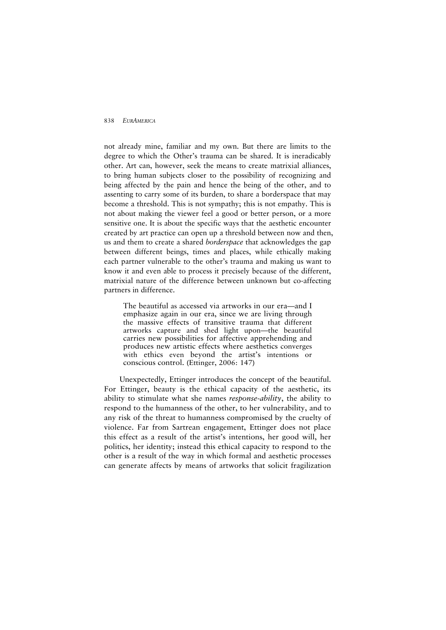not already mine, familiar and my own. But there are limits to the degree to which the Other's trauma can be shared. It is ineradicably other. Art can, however, seek the means to create matrixial alliances, to bring human subjects closer to the possibility of recognizing and being affected by the pain and hence the being of the other, and to assenting to carry some of its burden, to share a borderspace that may become a threshold. This is not sympathy; this is not empathy. This is not about making the viewer feel a good or better person, or a more sensitive one. It is about the specific ways that the aesthetic encounter created by art practice can open up a threshold between now and then, us and them to create a shared *borderspace* that acknowledges the gap between different beings, times and places, while ethically making each partner vulnerable to the other's trauma and making us want to know it and even able to process it precisely because of the different, matrixial nature of the difference between unknown but co-affecting partners in difference.

The beautiful as accessed via artworks in our era—and I emphasize again in our era, since we are living through the massive effects of transitive trauma that different artworks capture and shed light upon—the beautiful carries new possibilities for affective apprehending and produces new artistic effects where aesthetics converges with ethics even beyond the artist's intentions or conscious control. (Ettinger, 2006: 147)

Unexpectedly, Ettinger introduces the concept of the beautiful. For Ettinger, beauty is the ethical capacity of the aesthetic, its ability to stimulate what she names *response-ability*, the ability to respond to the humanness of the other, to her vulnerability, and to any risk of the threat to humanness compromised by the cruelty of violence. Far from Sartrean engagement, Ettinger does not place this effect as a result of the artist's intentions, her good will, her politics, her identity; instead this ethical capacity to respond to the other is a result of the way in which formal and aesthetic processes can generate affects by means of artworks that solicit fragilization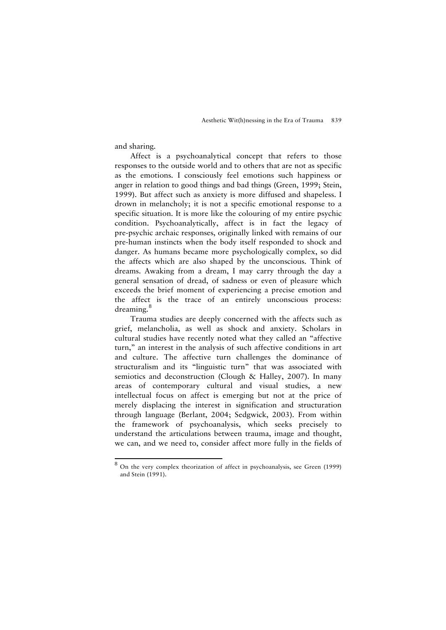and sharing.

Affect is a psychoanalytical concept that refers to those responses to the outside world and to others that are not as specific as the emotions. I consciously feel emotions such happiness or anger in relation to good things and bad things (Green, 1999; Stein, 1999). But affect such as anxiety is more diffused and shapeless. I drown in melancholy; it is not a specific emotional response to a specific situation. It is more like the colouring of my entire psychic condition. Psychoanalytically, affect is in fact the legacy of pre-psychic archaic responses, originally linked with remains of our pre-human instincts when the body itself responded to shock and danger. As humans became more psychologically complex, so did the affects which are also shaped by the unconscious. Think of dreams. Awaking from a dream, I may carry through the day a general sensation of dread, of sadness or even of pleasure which exceeds the brief moment of experiencing a precise emotion and the affect is the trace of an entirely unconscious process: dreaming.<sup>[8](#page-10-0)</sup>

Trauma studies are deeply concerned with the affects such as grief, melancholia, as well as shock and anxiety. Scholars in cultural studies have recently noted what they called an "affective turn," an interest in the analysis of such affective conditions in art and culture. The affective turn challenges the dominance of structuralism and its "linguistic turn" that was associated with semiotics and deconstruction (Clough & Halley, 2007). In many areas of contemporary cultural and visual studies, a new intellectual focus on affect is emerging but not at the price of merely displacing the interest in signification and structuration through language (Berlant, 2004; Sedgwick, 2003). From within the framework of psychoanalysis, which seeks precisely to understand the articulations between trauma, image and thought, we can, and we need to, consider affect more fully in the fields of

<span id="page-10-0"></span> 8 On the very complex theorization of affect in psychoanalysis, see Green (1999) and Stein (1991).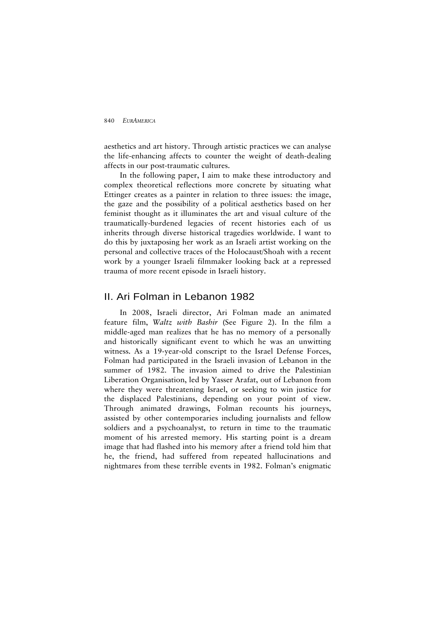aesthetics and art history. Through artistic practices we can analyse the life-enhancing affects to counter the weight of death-dealing affects in our post-traumatic cultures.

In the following paper, I aim to make these introductory and complex theoretical reflections more concrete by situating what Ettinger creates as a painter in relation to three issues: the image, the gaze and the possibility of a political aesthetics based on her feminist thought as it illuminates the art and visual culture of the traumatically-burdened legacies of recent histories each of us inherits through diverse historical tragedies worldwide. I want to do this by juxtaposing her work as an Israeli artist working on the personal and collective traces of the Holocaust/Shoah with a recent work by a younger Israeli filmmaker looking back at a repressed trauma of more recent episode in Israeli history.

## II. Ari Folman in Lebanon 1982

In 2008, Israeli director, Ari Folman made an animated feature film, *Waltz with Bashir* (See Figure 2). In the film a middle-aged man realizes that he has no memory of a personally and historically significant event to which he was an unwitting witness. As a 19-year-old conscript to the Israel Defense Forces, Folman had participated in the Israeli invasion of Lebanon in the summer of 1982. The invasion aimed to drive the Palestinian Liberation Organisation, led by Yasser Arafat, out of Lebanon from where they were threatening Israel, or seeking to win justice for the displaced Palestinians, depending on your point of view. Through animated drawings, Folman recounts his journeys, assisted by other contemporaries including journalists and fellow soldiers and a psychoanalyst, to return in time to the traumatic moment of his arrested memory. His starting point is a dream image that had flashed into his memory after a friend told him that he, the friend, had suffered from repeated hallucinations and nightmares from these terrible events in 1982. Folman's enigmatic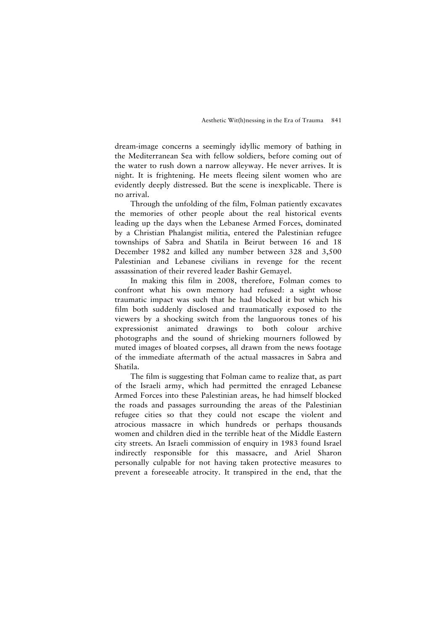dream-image concerns a seemingly idyllic memory of bathing in the Mediterranean Sea with fellow soldiers, before coming out of the water to rush down a narrow alleyway. He never arrives. It is night. It is frightening. He meets fleeing silent women who are evidently deeply distressed. But the scene is inexplicable. There is no arrival.

Through the unfolding of the film, Folman patiently excavates the memories of other people about the real historical events leading up the days when the Lebanese Armed Forces, dominated by a Christian Phalangist militia, entered the Palestinian refugee townships of Sabra and Shatila in Beirut between 16 and 18 December 1982 and killed any number between 328 and 3,500 Palestinian and Lebanese civilians in revenge for the recent assassination of their revered leader Bashir Gemayel.

In making this film in 2008, therefore, Folman comes to confront what his own memory had refused: a sight whose traumatic impact was such that he had blocked it but which his film both suddenly disclosed and traumatically exposed to the viewers by a shocking switch from the languorous tones of his expressionist animated drawings to both colour archive photographs and the sound of shrieking mourners followed by muted images of bloated corpses, all drawn from the news footage of the immediate aftermath of the actual massacres in Sabra and Shatila.

The film is suggesting that Folman came to realize that, as part of the Israeli army, which had permitted the enraged Lebanese Armed Forces into these Palestinian areas, he had himself blocked the roads and passages surrounding the areas of the Palestinian refugee cities so that they could not escape the violent and atrocious massacre in which hundreds or perhaps thousands women and children died in the terrible heat of the Middle Eastern city streets. An Israeli commission of enquiry in 1983 found Israel indirectly responsible for this massacre, and Ariel Sharon personally culpable for not having taken protective measures to prevent a foreseeable atrocity. It transpired in the end, that the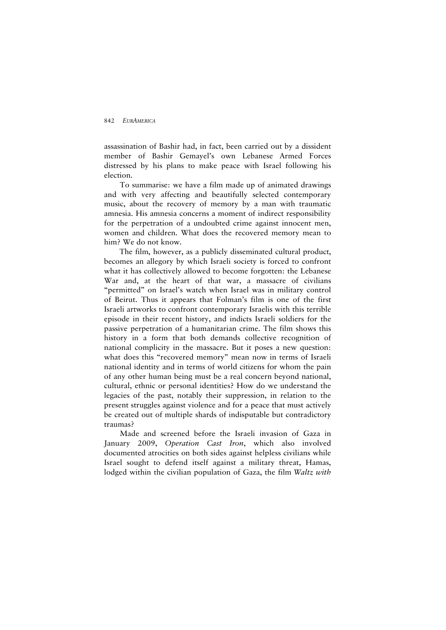assassination of Bashir had, in fact, been carried out by a dissident member of Bashir Gemayel's own Lebanese Armed Forces distressed by his plans to make peace with Israel following his election.

To summarise: we have a film made up of animated drawings and with very affecting and beautifully selected contemporary music, about the recovery of memory by a man with traumatic amnesia. His amnesia concerns a moment of indirect responsibility for the perpetration of a undoubted crime against innocent men, women and children. What does the recovered memory mean to him? We do not know.

The film, however, as a publicly disseminated cultural product, becomes an allegory by which Israeli society is forced to confront what it has collectively allowed to become forgotten: the Lebanese War and, at the heart of that war, a massacre of civilians "permitted" on Israel's watch when Israel was in military control of Beirut. Thus it appears that Folman's film is one of the first Israeli artworks to confront contemporary Israelis with this terrible episode in their recent history, and indicts Israeli soldiers for the passive perpetration of a humanitarian crime. The film shows this history in a form that both demands collective recognition of national complicity in the massacre. But it poses a new question: what does this "recovered memory" mean now in terms of Israeli national identity and in terms of world citizens for whom the pain of any other human being must be a real concern beyond national, cultural, ethnic or personal identities? How do we understand the legacies of the past, notably their suppression, in relation to the present struggles against violence and for a peace that must actively be created out of multiple shards of indisputable but contradictory traumas?

Made and screened before the Israeli invasion of Gaza in January 2009, *Operation Cast Iron*, which also involved documented atrocities on both sides against helpless civilians while Israel sought to defend itself against a military threat, Hamas, lodged within the civilian population of Gaza, the film *Waltz with*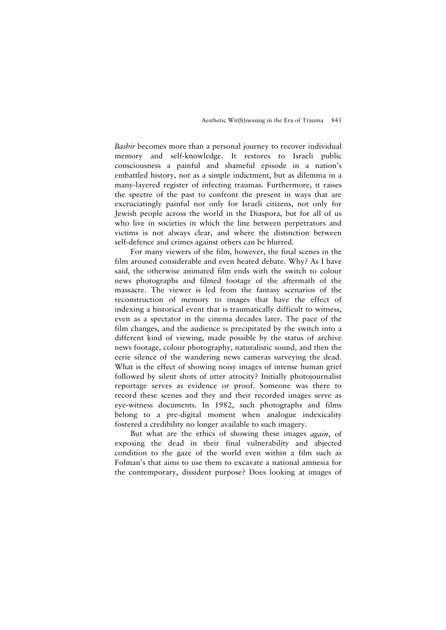*Bashir* becomes more than a personal journey to recover individual memory and self-knowledge. It restores to Israeli public consciousness a painful and shameful episode in a nation's embattled history, not as a simple indictment, but as dilemma in a many-layered register of infecting traumas. Furthermore, it raises the spectre of the past to confront the present in ways that are excruciatingly painful not only for Israeli citizens, not only for Jewish people across the world in the Diaspora, but for all of us who live in societies in which the line between perpetrators and victims is not always clear, and where the distinction between self-defence and crimes against others can be blurred.

For many viewers of the film, however, the final scenes in the film aroused considerable and even heated debate. Why? As I have said, the otherwise animated film ends with the switch to colour news photographs and filmed footage of the aftermath of the massacre. The viewer is led from the fantasy scenarios of the reconstruction of memory to images that have the effect of indexing a historical event that is traumatically difficult to witness, even as a spectator in the cinema decades later. The pace of the film changes, and the audience is precipitated by the switch into a different kind of viewing, made possible by the status of archive news footage, colour photography, naturalistic sound, and then the eerie silence of the wandering news cameras surveying the dead. What is the effect of showing noisy images of intense human grief followed by silent shots of utter atrocity? Initially photojournalist reportage serves as evidence or proof. Someone was there to record these scenes and they and their recorded images serve as eye-witness documents. In 1982, such photographs and films belong to a pre-digital moment when analogue indexicality fostered a credibility no longer available to such imagery.

But what are the ethics of showing these images *again*, of exposing the dead in their final vulnerability and abjected condition to the gaze of the world even within a film such as Folman's that aims to use them to excavate a national amnesia for the contemporary, dissident purpose? Does looking at images of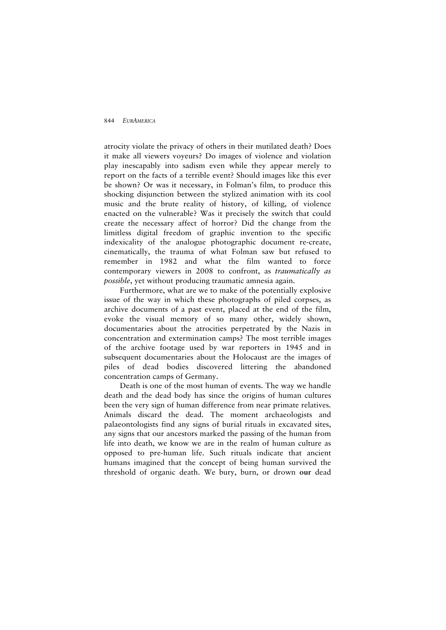atrocity violate the privacy of others in their mutilated death? Does it make all viewers voyeurs? Do images of violence and violation play inescapably into sadism even while they appear merely to report on the facts of a terrible event? Should images like this ever be shown? Or was it necessary, in Folman's film, to produce this shocking disjunction between the stylized animation with its cool music and the brute reality of history, of killing, of violence enacted on the vulnerable? Was it precisely the switch that could create the necessary affect of horror? Did the change from the limitless digital freedom of graphic invention to the specific indexicality of the analogue photographic document re-create, cinematically, the trauma of what Folman saw but refused to remember in 1982 and what the film wanted to force contemporary viewers in 2008 to confront, as *traumatically as possible*, yet without producing traumatic amnesia again.

Furthermore, what are we to make of the potentially explosive issue of the way in which these photographs of piled corpses, as archive documents of a past event, placed at the end of the film, evoke the visual memory of so many other, widely shown, documentaries about the atrocities perpetrated by the Nazis in concentration and extermination camps? The most terrible images of the archive footage used by war reporters in 1945 and in subsequent documentaries about the Holocaust are the images of piles of dead bodies discovered littering the abandoned concentration camps of Germany.

Death is one of the most human of events. The way we handle death and the dead body has since the origins of human cultures been the very sign of human difference from near primate relatives. Animals discard the dead. The moment archaeologists and palaeontologists find any signs of burial rituals in excavated sites, any signs that our ancestors marked the passing of the human from life into death, we know we are in the realm of human culture as opposed to pre-human life. Such rituals indicate that ancient humans imagined that the concept of being human survived the threshold of organic death. We bury, burn, or drown **our** dead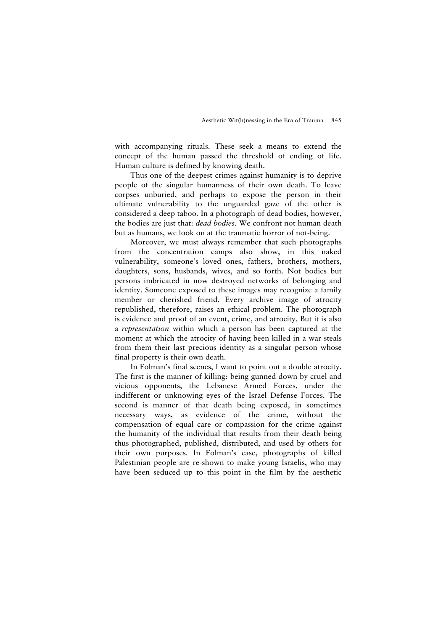with accompanying rituals. These seek a means to extend the concept of the human passed the threshold of ending of life. Human culture is defined by knowing death.

Thus one of the deepest crimes against humanity is to deprive people of the singular humanness of their own death. To leave corpses unburied, and perhaps to expose the person in their ultimate vulnerability to the unguarded gaze of the other is considered a deep taboo. In a photograph of dead bodies, however, the bodies are just that: *dead bodies*. We confront not human death but as humans, we look on at the traumatic horror of not-being.

Moreover, we must always remember that such photographs from the concentration camps also show, in this naked vulnerability, someone's loved ones, fathers, brothers, mothers, daughters, sons, husbands, wives, and so forth. Not bodies but persons imbricated in now destroyed networks of belonging and identity. Someone exposed to these images may recognize a family member or cherished friend. Every archive image of atrocity republished, therefore, raises an ethical problem. The photograph is evidence and proof of an event, crime, and atrocity. But it is also a *representation* within which a person has been captured at the moment at which the atrocity of having been killed in a war steals from them their last precious identity as a singular person whose final property is their own death.

In Folman's final scenes, I want to point out a double atrocity. The first is the manner of killing: being gunned down by cruel and vicious opponents, the Lebanese Armed Forces, under the indifferent or unknowing eyes of the Israel Defense Forces. The second is manner of that death being exposed, in sometimes necessary ways, as evidence of the crime, without the compensation of equal care or compassion for the crime against the humanity of the individual that results from their death being thus photographed, published, distributed, and used by others for their own purposes. In Folman's case, photographs of killed Palestinian people are re-shown to make young Israelis, who may have been seduced up to this point in the film by the aesthetic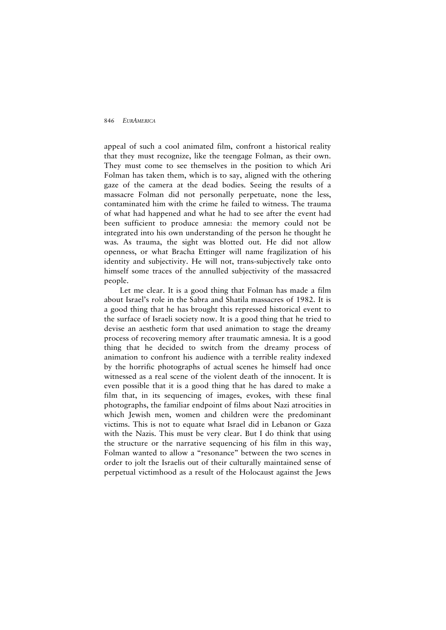appeal of such a cool animated film, confront a historical reality that they must recognize, like the teengage Folman, as their own. They must come to see themselves in the position to which Ari Folman has taken them, which is to say, aligned with the othering gaze of the camera at the dead bodies. Seeing the results of a massacre Folman did not personally perpetuate, none the less, contaminated him with the crime he failed to witness. The trauma of what had happened and what he had to see after the event had been sufficient to produce amnesia: the memory could not be integrated into his own understanding of the person he thought he was. As trauma, the sight was blotted out. He did not allow openness, or what Bracha Ettinger will name fragilization of his identity and subjectivity. He will not, trans-subjectively take onto himself some traces of the annulled subjectivity of the massacred people.

Let me clear. It is a good thing that Folman has made a film about Israel's role in the Sabra and Shatila massacres of 1982. It is a good thing that he has brought this repressed historical event to the surface of Israeli society now. It is a good thing that he tried to devise an aesthetic form that used animation to stage the dreamy process of recovering memory after traumatic amnesia. It is a good thing that he decided to switch from the dreamy process of animation to confront his audience with a terrible reality indexed by the horrific photographs of actual scenes he himself had once witnessed as a real scene of the violent death of the innocent. It is even possible that it is a good thing that he has dared to make a film that, in its sequencing of images, evokes, with these final photographs, the familiar endpoint of films about Nazi atrocities in which Jewish men, women and children were the predominant victims. This is not to equate what Israel did in Lebanon or Gaza with the Nazis. This must be very clear. But I do think that using the structure or the narrative sequencing of his film in this way, Folman wanted to allow a "resonance" between the two scenes in order to jolt the Israelis out of their culturally maintained sense of perpetual victimhood as a result of the Holocaust against the Jews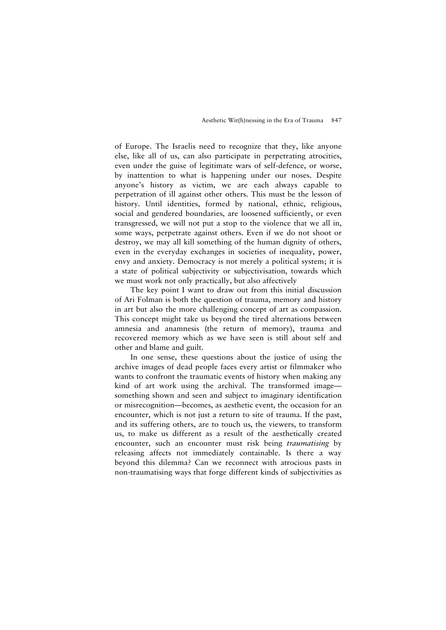of Europe. The Israelis need to recognize that they, like anyone else, like all of us, can also participate in perpetrating atrocities, even under the guise of legitimate wars of self-defence, or worse, by inattention to what is happening under our noses. Despite anyone's history as victim, we are each always capable to perpetration of ill against other others. This must be the lesson of history. Until identities, formed by national, ethnic, religious, social and gendered boundaries, are loosened sufficiently, or even transgressed, we will not put a stop to the violence that we all in, some ways, perpetrate against others. Even if we do not shoot or destroy, we may all kill something of the human dignity of others, even in the everyday exchanges in societies of inequality, power, envy and anxiety. Democracy is not merely a political system; it is a state of political subjectivity or subjectivisation, towards which we must work not only practically, but also affectively

The key point I want to draw out from this initial discussion of Ari Folman is both the question of trauma, memory and history in art but also the more challenging concept of art as compassion. This concept might take us beyond the tired alternations between amnesia and anamnesis (the return of memory), trauma and recovered memory which as we have seen is still about self and other and blame and guilt.

In one sense, these questions about the justice of using the archive images of dead people faces every artist or filmmaker who wants to confront the traumatic events of history when making any kind of art work using the archival. The transformed image something shown and seen and subject to imaginary identification or misrecognition—becomes, as aesthetic event, the occasion for an encounter, which is not just a return to site of trauma. If the past, and its suffering others, are to touch us, the viewers, to transform us, to make us different as a result of the aesthetically created encounter, such an encounter must risk being *traumatising* by releasing affects not immediately containable. Is there a way beyond this dilemma? Can we reconnect with atrocious pasts in non-traumatising ways that forge different kinds of subjectivities as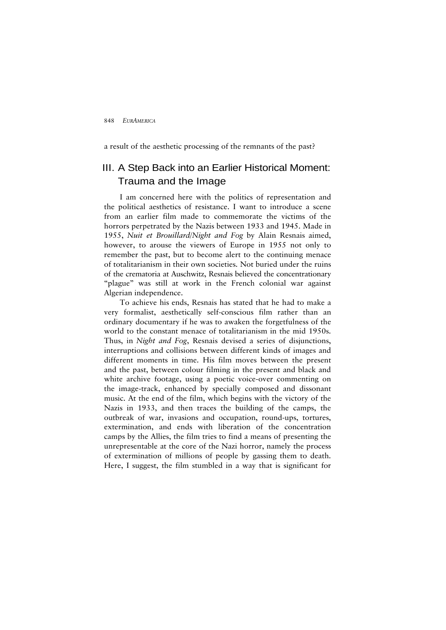a result of the aesthetic processing of the remnants of the past?

# III. A Step Back into an Earlier Historical Moment: Trauma and the Image

I am concerned here with the politics of representation and the political aesthetics of resistance. I want to introduce a scene from an earlier film made to commemorate the victims of the horrors perpetrated by the Nazis between 1933 and 1945. Made in 1955, *Nuit et Brouillard*/*Night and Fog* by Alain Resnais aimed, however, to arouse the viewers of Europe in 1955 not only to remember the past, but to become alert to the continuing menace of totalitarianism in their own societies. Not buried under the ruins of the crematoria at Auschwitz, Resnais believed the concentrationary "plague" was still at work in the French colonial war against Algerian independence.

To achieve his ends, Resnais has stated that he had to make a very formalist, aesthetically self-conscious film rather than an ordinary documentary if he was to awaken the forgetfulness of the world to the constant menace of totalitarianism in the mid 1950s. Thus, in *Night and Fog*, Resnais devised a series of disjunctions, interruptions and collisions between different kinds of images and different moments in time. His film moves between the present and the past, between colour filming in the present and black and white archive footage, using a poetic voice-over commenting on the image-track, enhanced by specially composed and dissonant music. At the end of the film, which begins with the victory of the Nazis in 1933, and then traces the building of the camps, the outbreak of war, invasions and occupation, round-ups, tortures, extermination, and ends with liberation of the concentration camps by the Allies, the film tries to find a means of presenting the unrepresentable at the core of the Nazi horror, namely the process of extermination of millions of people by gassing them to death. Here, I suggest, the film stumbled in a way that is significant for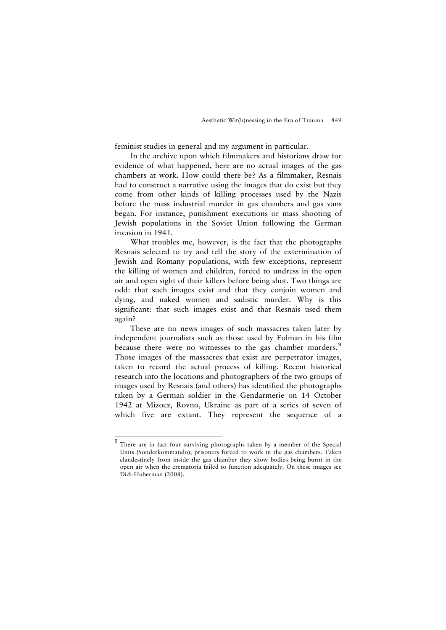feminist studies in general and my argument in particular.

In the archive upon which filmmakers and historians draw for evidence of what happened, here are no actual images of the gas chambers at work. How could there be? As a filmmaker, Resnais had to construct a narrative using the images that do exist but they come from other kinds of killing processes used by the Nazis before the mass industrial murder in gas chambers and gas vans began. For instance, punishment executions or mass shooting of Jewish populations in the Soviet Union following the German invasion in 1941.

What troubles me, however, is the fact that the photographs Resnais selected to try and tell the story of the extermination of Jewish and Romany populations, with few exceptions, represent the killing of women and children, forced to undress in the open air and open sight of their killers before being shot. Two things are odd: that such images exist and that they conjoin women and dying, and naked women and sadistic murder. Why is this significant: that such images exist and that Resnais used them again?

These are no news images of such massacres taken later by independent journalists such as those used by Folman in his film because there were no witnesses to the gas chamber murders.<sup>[9](#page-20-0)</sup> Those images of the massacres that exist are perpetrator images, taken to record the actual process of killing. Recent historical research into the locations and photographers of the two groups of images used by Resnais (and others) has identified the photographs taken by a German soldier in the Gendarmerie on 14 October 1942 at Mizocz, Rovno, Ukraine as part of a series of seven of which five are extant. They represent the sequence of a

<span id="page-20-0"></span><sup>&</sup>lt;sup>9</sup><br><sup>9</sup> There are in fact four surviving photographs taken by a member of the Special Units (Sonderkommando), prisoners forced to work in the gas chambers. Taken clandestinely from inside the gas chamber they show bodies being burnt in the open air when the crematoria failed to function adequately. On these images see Didi-Huberman (2008).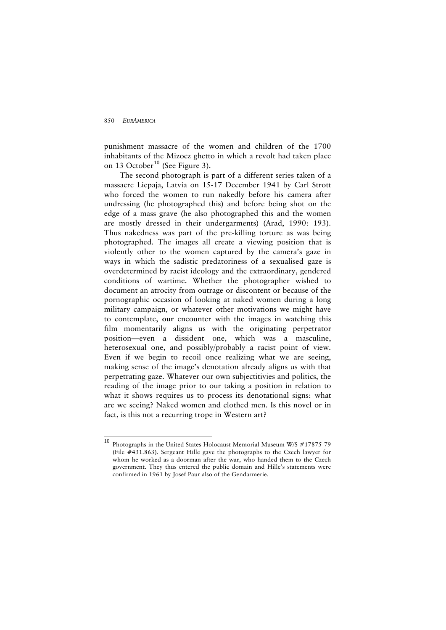$\overline{a}$ 

punishment massacre of the women and children of the 1700 inhabitants of the Mizocz ghetto in which a revolt had taken place on 13 October<sup>[10](#page-21-0)</sup> (See Figure 3).

The second photograph is part of a different series taken of a massacre Liepaja, Latvia on 15-17 December 1941 by Carl Strott who forced the women to run nakedly before his camera after undressing (he photographed this) and before being shot on the edge of a mass grave (he also photographed this and the women are mostly dressed in their undergarments) (Arad, 1990: 193). Thus nakedness was part of the pre-killing torture as was being photographed. The images all create a viewing position that is violently other to the women captured by the camera's gaze in ways in which the sadistic predatoriness of a sexualised gaze is overdetermined by racist ideology and the extraordinary, gendered conditions of wartime. Whether the photographer wished to document an atrocity from outrage or discontent or because of the pornographic occasion of looking at naked women during a long military campaign, or whatever other motivations we might have to contemplate, **our** encounter with the images in watching this film momentarily aligns us with the originating perpetrator position—even a dissident one, which was a masculine, heterosexual one, and possibly/probably a racist point of view. Even if we begin to recoil once realizing what we are seeing, making sense of the image's denotation already aligns us with that perpetrating gaze. Whatever our own subjectitivies and politics, the reading of the image prior to our taking a position in relation to what it shows requires us to process its denotational signs: what are we seeing? Naked women and clothed men. Is this novel or in fact, is this not a recurring trope in Western art?

<span id="page-21-0"></span><sup>&</sup>lt;sup>10</sup> Photographs in the United States Holocaust Memorial Museum W/S #17875-79 (File #431.863). Sergeant Hille gave the photographs to the Czech lawyer for whom he worked as a doorman after the war, who handed them to the Czech government. They thus entered the public domain and Hille's statements were confirmed in 1961 by Josef Paur also of the Gendarmerie.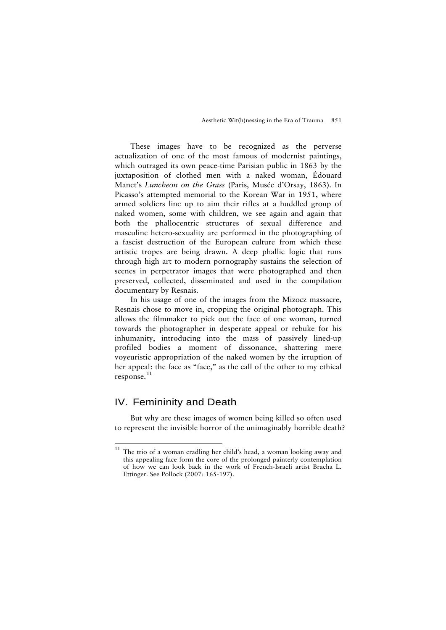These images have to be recognized as the perverse actualization of one of the most famous of modernist paintings, which outraged its own peace-time Parisian public in 1863 by the juxtaposition of clothed men with a naked woman, Édouard Manet's *Luncheon on the Grass* (Paris, Musée d'Orsay, 1863). In Picasso's attempted memorial to the Korean War in 1951, where armed soldiers line up to aim their rifles at a huddled group of naked women, some with children, we see again and again that both the phallocentric structures of sexual difference and masculine hetero-sexuality are performed in the photographing of a fascist destruction of the European culture from which these artistic tropes are being drawn. A deep phallic logic that runs through high art to modern pornography sustains the selection of scenes in perpetrator images that were photographed and then preserved, collected, disseminated and used in the compilation documentary by Resnais.

In his usage of one of the images from the Mizocz massacre, Resnais chose to move in, cropping the original photograph. This allows the filmmaker to pick out the face of one woman, turned towards the photographer in desperate appeal or rebuke for his inhumanity, introducing into the mass of passively lined-up profiled bodies a moment of dissonance, shattering mere voyeuristic appropriation of the naked women by the irruption of her appeal: the face as "face," as the call of the other to my ethical response. [11](#page-22-0)

## IV. Femininity and Death

j

But why are these images of women being killed so often used to represent the invisible horror of the unimaginably horrible death?

<span id="page-22-0"></span> $11$  The trio of a woman cradling her child's head, a woman looking away and this appealing face form the core of the prolonged painterly contemplation of how we can look back in the work of French-Israeli artist Bracha L. Ettinger. See Pollock (2007: 165-197).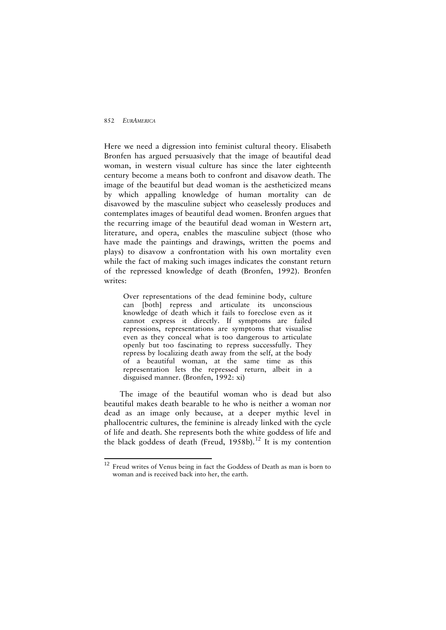$\overline{a}$ 

Here we need a digression into feminist cultural theory. Elisabeth Bronfen has argued persuasively that the image of beautiful dead woman, in western visual culture has since the later eighteenth century become a means both to confront and disavow death. The image of the beautiful but dead woman is the aestheticized means by which appalling knowledge of human mortality can de disavowed by the masculine subject who ceaselessly produces and contemplates images of beautiful dead women. Bronfen argues that the recurring image of the beautiful dead woman in Western art, literature, and opera, enables the masculine subject (those who have made the paintings and drawings, written the poems and plays) to disavow a confrontation with his own mortality even while the fact of making such images indicates the constant return of the repressed knowledge of death (Bronfen, 1992). Bronfen writes:

Over representations of the dead feminine body, culture can [both] repress and articulate its unconscious knowledge of death which it fails to foreclose even as it cannot express it directly. If symptoms are failed repressions, representations are symptoms that visualise even as they conceal what is too dangerous to articulate openly but too fascinating to repress successfully. They repress by localizing death away from the self, at the body of a beautiful woman, at the same time as this representation lets the repressed return, albeit in a disguised manner. (Bronfen, 1992: xi)

The image of the beautiful woman who is dead but also beautiful makes death bearable to he who is neither a woman nor dead as an image only because, at a deeper mythic level in phallocentric cultures, the feminine is already linked with the cycle of life and death. She represents both the white goddess of life and the black goddess of death (Freud, 1958b).<sup>[12](#page-23-0)</sup> It is my contention

<span id="page-23-0"></span><sup>&</sup>lt;sup>12</sup> Freud writes of Venus being in fact the Goddess of Death as man is born to woman and is received back into her, the earth.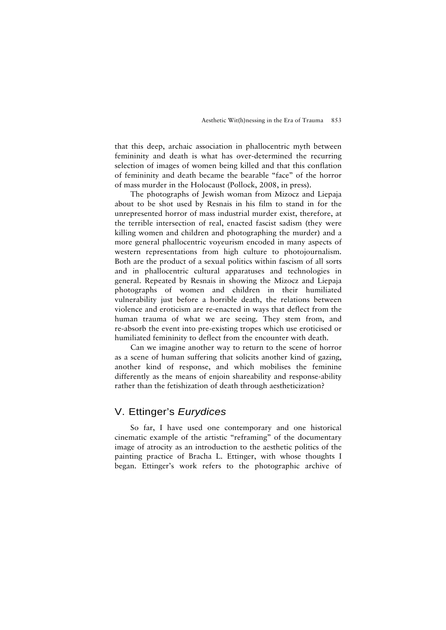that this deep, archaic association in phallocentric myth between femininity and death is what has over-determined the recurring selection of images of women being killed and that this conflation of femininity and death became the bearable "face" of the horror of mass murder in the Holocaust (Pollock, 2008, in press).

The photographs of Jewish woman from Mizocz and Liepaja about to be shot used by Resnais in his film to stand in for the unrepresented horror of mass industrial murder exist, therefore, at the terrible intersection of real, enacted fascist sadism (they were killing women and children and photographing the murder) and a more general phallocentric voyeurism encoded in many aspects of western representations from high culture to photojournalism. Both are the product of a sexual politics within fascism of all sorts and in phallocentric cultural apparatuses and technologies in general. Repeated by Resnais in showing the Mizocz and Liepaja photographs of women and children in their humiliated vulnerability just before a horrible death, the relations between violence and eroticism are re-enacted in ways that deflect from the human trauma of what we are seeing. They stem from, and re-absorb the event into pre-existing tropes which use eroticised or humiliated femininity to deflect from the encounter with death.

Can we imagine another way to return to the scene of horror as a scene of human suffering that solicits another kind of gazing, another kind of response, and which mobilises the feminine differently as the means of enjoin shareability and response-ability rather than the fetishization of death through aestheticization?

## V. Ettinger's *Eurydices*

So far, I have used one contemporary and one historical cinematic example of the artistic "reframing" of the documentary image of atrocity as an introduction to the aesthetic politics of the painting practice of Bracha L. Ettinger, with whose thoughts I began. Ettinger's work refers to the photographic archive of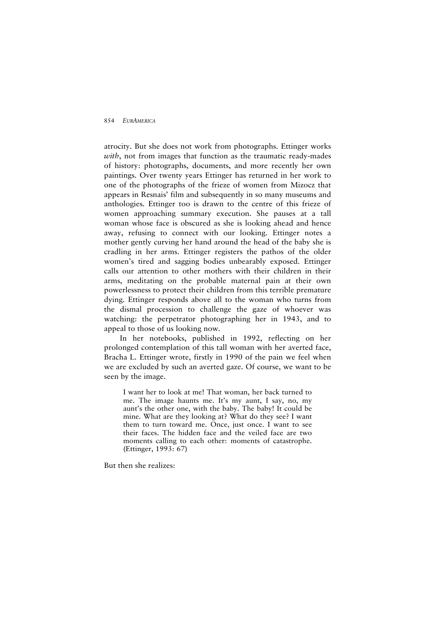atrocity. But she does not work from photographs. Ettinger works *with*, not from images that function as the traumatic ready-mades of history: photographs, documents, and more recently her own paintings. Over twenty years Ettinger has returned in her work to one of the photographs of the frieze of women from Mizocz that appears in Resnais' film and subsequently in so many museums and anthologies. Ettinger too is drawn to the centre of this frieze of women approaching summary execution. She pauses at a tall woman whose face is obscured as she is looking ahead and hence away, refusing to connect with our looking. Ettinger notes a mother gently curving her hand around the head of the baby she is cradling in her arms. Ettinger registers the pathos of the older women's tired and sagging bodies unbearably exposed. Ettinger calls our attention to other mothers with their children in their arms, meditating on the probable maternal pain at their own powerlessness to protect their children from this terrible premature dying. Ettinger responds above all to the woman who turns from the dismal procession to challenge the gaze of whoever was watching: the perpetrator photographing her in 1943, and to appeal to those of us looking now.

In her notebooks, published in 1992, reflecting on her prolonged contemplation of this tall woman with her averted face, Bracha L. Ettinger wrote, firstly in 1990 of the pain we feel when we are excluded by such an averted gaze. Of course, we want to be seen by the image.

I want her to look at me! That woman, her back turned to me. The image haunts me. It's my aunt, I say, no, my aunt's the other one, with the baby. The baby! It could be mine. What are they looking at? What do they see? I want them to turn toward me. Once, just once. I want to see their faces. The hidden face and the veiled face are two moments calling to each other: moments of catastrophe. (Ettinger, 1993: 67)

But then she realizes: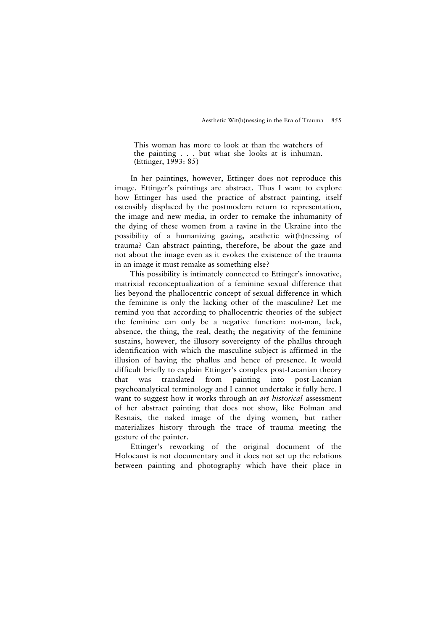This woman has more to look at than the watchers of the painting . . . but what she looks at is inhuman. (Ettinger, 1993: 85)

In her paintings, however, Ettinger does not reproduce this image. Ettinger's paintings are abstract. Thus I want to explore how Ettinger has used the practice of abstract painting, itself ostensibly displaced by the postmodern return to representation, the image and new media, in order to remake the inhumanity of the dying of these women from a ravine in the Ukraine into the possibility of a humanizing gazing, aesthetic wit(h)nessing of trauma? Can abstract painting, therefore, be about the gaze and not about the image even as it evokes the existence of the trauma in an image it must remake as something else?

This possibility is intimately connected to Ettinger's innovative, matrixial reconceptualization of a feminine sexual difference that lies beyond the phallocentric concept of sexual difference in which the feminine is only the lacking other of the masculine? Let me remind you that according to phallocentric theories of the subject the feminine can only be a negative function: not-man, lack, absence, the thing, the real, death; the negativity of the feminine sustains, however, the illusory sovereignty of the phallus through identification with which the masculine subject is affirmed in the illusion of having the phallus and hence of presence. It would difficult briefly to explain Ettinger's complex post-Lacanian theory that was translated from painting into post-Lacanian psychoanalytical terminology and I cannot undertake it fully here. I want to suggest how it works through an *art historical* assessment of her abstract painting that does not show, like Folman and Resnais, the naked image of the dying women, but rather materializes history through the trace of trauma meeting the gesture of the painter.

Ettinger's reworking of the original document of the Holocaust is not documentary and it does not set up the relations between painting and photography which have their place in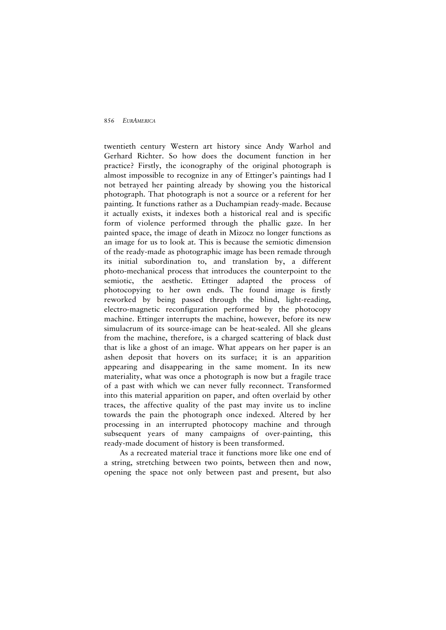twentieth century Western art history since Andy Warhol and Gerhard Richter. So how does the document function in her practice? Firstly, the iconography of the original photograph is almost impossible to recognize in any of Ettinger's paintings had I not betrayed her painting already by showing you the historical photograph. That photograph is not a source or a referent for her painting. It functions rather as a Duchampian ready-made. Because it actually exists, it indexes both a historical real and is specific form of violence performed through the phallic gaze. In her painted space, the image of death in Mizocz no longer functions as an image for us to look at. This is because the semiotic dimension of the ready-made as photographic image has been remade through its initial subordination to, and translation by, a different photo-mechanical process that introduces the counterpoint to the semiotic, the aesthetic. Ettinger adapted the process of photocopying to her own ends. The found image is firstly reworked by being passed through the blind, light-reading, electro-magnetic reconfiguration performed by the photocopy machine. Ettinger interrupts the machine, however, before its new simulacrum of its source-image can be heat-sealed. All she gleans from the machine, therefore, is a charged scattering of black dust that is like a ghost of an image. What appears on her paper is an ashen deposit that hovers on its surface; it is an apparition appearing and disappearing in the same moment. In its new materiality, what was once a photograph is now but a fragile trace of a past with which we can never fully reconnect. Transformed into this material apparition on paper, and often overlaid by other traces, the affective quality of the past may invite us to incline towards the pain the photograph once indexed. Altered by her processing in an interrupted photocopy machine and through subsequent years of many campaigns of over-painting, this ready-made document of history is been transformed.

As a recreated material trace it functions more like one end of a string, stretching between two points, between then and now, opening the space not only between past and present, but also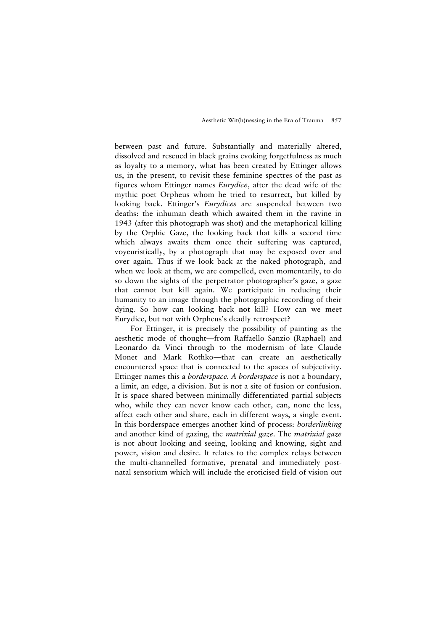between past and future. Substantially and materially altered, dissolved and rescued in black grains evoking forgetfulness as much as loyalty to a memory, what has been created by Ettinger allows us, in the present, to revisit these feminine spectres of the past as figures whom Ettinger names *Eurydice*, after the dead wife of the mythic poet Orpheus whom he tried to resurrect, but killed by looking back. Ettinger's *Eurydices* are suspended between two deaths: the inhuman death which awaited them in the ravine in 1943 (after this photograph was shot) and the metaphorical killing by the Orphic Gaze, the looking back that kills a second time which always awaits them once their suffering was captured, voyeuristically, by a photograph that may be exposed over and over again. Thus if we look back at the naked photograph, and when we look at them, we are compelled, even momentarily, to do so down the sights of the perpetrator photographer's gaze, a gaze that cannot but kill again. We participate in reducing their humanity to an image through the photographic recording of their dying. So how can looking back **not** kill? How can we meet Eurydice, but not with Orpheus's deadly retrospect?

For Ettinger, it is precisely the possibility of painting as the aesthetic mode of thought—from Raffaello Sanzio (Raphael) and Leonardo da Vinci through to the modernism of late Claude Monet and Mark Rothko—that can create an aesthetically encountered space that is connected to the spaces of subjectivity. Ettinger names this a *borderspace. A borderspace* is not a boundary, a limit, an edge, a division. But is not a site of fusion or confusion. It is space shared between minimally differentiated partial subjects who, while they can never know each other, can, none the less, affect each other and share, each in different ways, a single event. In this borderspace emerges another kind of process: *borderlinking* and another kind of gazing, the *matrixial gaze*. The *matrixial gaze* is not about looking and seeing, looking and knowing, sight and power, vision and desire. It relates to the complex relays between the multi-channelled formative, prenatal and immediately postnatal sensorium which will include the eroticised field of vision out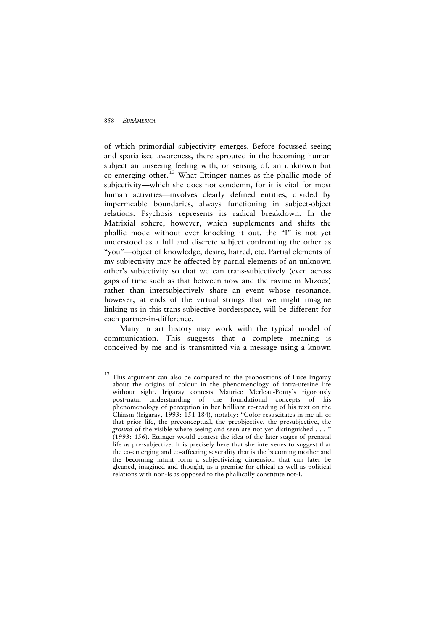of which primordial subjectivity emerges. Before focussed seeing and spatialised awareness, there sprouted in the becoming human subject an unseeing feeling with, or sensing of, an unknown but co-emerging other.<sup>[13](#page-29-0)</sup> What Ettinger names as the phallic mode of subjectivity—which she does not condemn, for it is vital for most human activities—involves clearly defined entities, divided by impermeable boundaries, always functioning in subject-object relations. Psychosis represents its radical breakdown. In the Matrixial sphere, however, which supplements and shifts the phallic mode without ever knocking it out, the "I" is not yet understood as a full and discrete subject confronting the other as "you"—object of knowledge, desire, hatred, etc. Partial elements of my subjectivity may be affected by partial elements of an unknown other's subjectivity so that we can trans-subjectively (even across gaps of time such as that between now and the ravine in Mizocz) rather than intersubjectively share an event whose resonance, however, at ends of the virtual strings that we might imagine linking us in this trans-subjective borderspace, will be different for each partner-in-difference.

Many in art history may work with the typical model of communication. This suggests that a complete meaning is conceived by me and is transmitted via a message using a known

<span id="page-29-0"></span> $13$ This argument can also be compared to the propositions of Luce Irigaray about the origins of colour in the phenomenology of intra-uterine life without sight. Irigaray contests Maurice Merleau-Ponty's rigorously post-natal understanding of the foundational concepts of his phenomenology of perception in her brilliant re-reading of his text on the Chiasm (Irigaray, 1993: 151-184), notably: "Color resuscitates in me all of that prior life, the preconceptual, the preobjective, the presubjective, the *ground* of the visible where seeing and seen are not yet distinguished . . . " (1993: 156). Ettinger would contest the idea of the later stages of prenatal life as pre-subjective. It is precisely here that she intervenes to suggest that the co-emerging and co-affecting severality that is the becoming mother and the becoming infant form a subjectivizing dimension that can later be gleaned, imagined and thought, as a premise for ethical as well as political relations with non-Is as opposed to the phallically constitute not-I.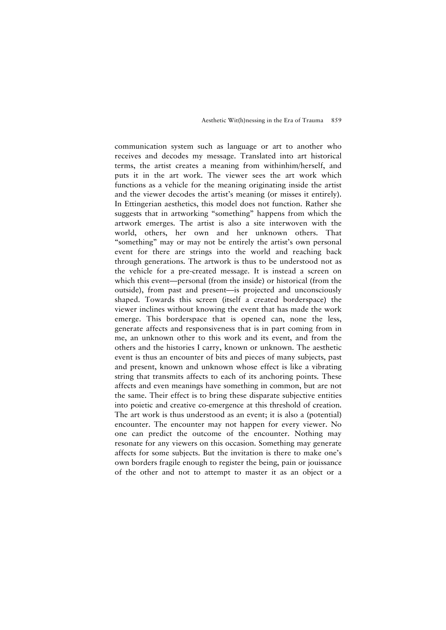communication system such as language or art to another who receives and decodes my message. Translated into art historical terms, the artist creates a meaning from withinhim/herself, and puts it in the art work. The viewer sees the art work which functions as a vehicle for the meaning originating inside the artist and the viewer decodes the artist's meaning (or misses it entirely). In Ettingerian aesthetics, this model does not function. Rather she suggests that in artworking "something" happens from which the artwork emerges. The artist is also a site interwoven with the world, others, her own and her unknown others. That "something" may or may not be entirely the artist's own personal event for there are strings into the world and reaching back through generations. The artwork is thus to be understood not as the vehicle for a pre-created message. It is instead a screen on which this event—personal (from the inside) or historical (from the outside), from past and present—is projected and unconsciously shaped. Towards this screen (itself a created borderspace) the viewer inclines without knowing the event that has made the work emerge. This borderspace that is opened can, none the less, generate affects and responsiveness that is in part coming from in me, an unknown other to this work and its event, and from the others and the histories I carry, known or unknown. The aesthetic event is thus an encounter of bits and pieces of many subjects, past and present, known and unknown whose effect is like a vibrating string that transmits affects to each of its anchoring points. These affects and even meanings have something in common, but are not the same. Their effect is to bring these disparate subjective entities into poietic and creative co-emergence at this threshold of creation. The art work is thus understood as an event; it is also a (potential) encounter. The encounter may not happen for every viewer. No one can predict the outcome of the encounter. Nothing may resonate for any viewers on this occasion. Something may generate affects for some subjects. But the invitation is there to make one's own borders fragile enough to register the being, pain or jouissance of the other and not to attempt to master it as an object or a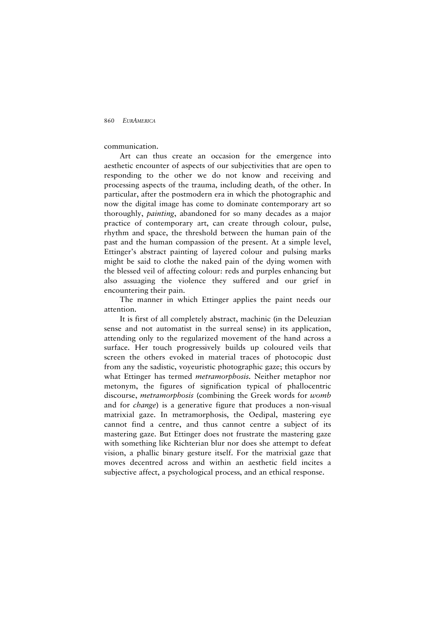communication.

Art can thus create an occasion for the emergence into aesthetic encounter of aspects of our subjectivities that are open to responding to the other we do not know and receiving and processing aspects of the trauma, including death, of the other. In particular, after the postmodern era in which the photographic and now the digital image has come to dominate contemporary art so thoroughly, *painting*, abandoned for so many decades as a major practice of contemporary art, can create through colour, pulse, rhythm and space, the threshold between the human pain of the past and the human compassion of the present. At a simple level, Ettinger's abstract painting of layered colour and pulsing marks might be said to clothe the naked pain of the dying women with the blessed veil of affecting colour: reds and purples enhancing but also assuaging the violence they suffered and our grief in encountering their pain.

The manner in which Ettinger applies the paint needs our attention.

It is first of all completely abstract, machinic (in the Deleuzian sense and not automatist in the surreal sense) in its application, attending only to the regularized movement of the hand across a surface. Her touch progressively builds up coloured veils that screen the others evoked in material traces of photocopic dust from any the sadistic, voyeuristic photographic gaze; this occurs by what Ettinger has termed *metramorphosis.* Neither metaphor nor metonym, the figures of signification typical of phallocentric discourse, *metramorphosis* (combining the Greek words for *womb*  and for *change*) is a generative figure that produces a non-visual matrixial gaze. In metramorphosis, the Oedipal, mastering eye cannot find a centre, and thus cannot centre a subject of its mastering gaze. But Ettinger does not frustrate the mastering gaze with something like Richterian blur nor does she attempt to defeat vision, a phallic binary gesture itself. For the matrixial gaze that moves decentred across and within an aesthetic field incites a subjective affect, a psychological process, and an ethical response.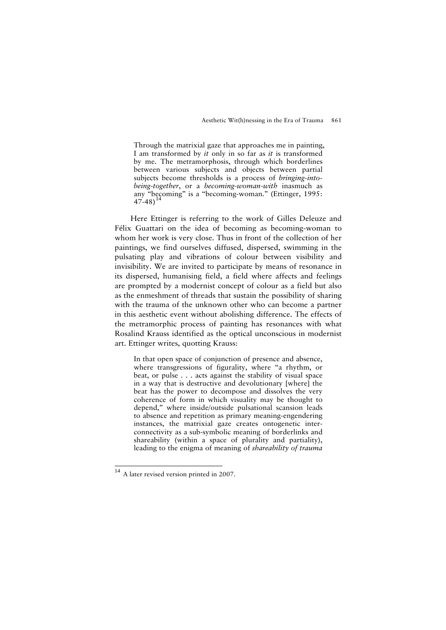Through the matrixial gaze that approaches me in painting, I am transformed by *it* only in so far as *it* is transformed by me. The metramorphosis, through which borderlines between various subjects and objects between partial subjects become thresholds is a process of *bringing-intobeing-together*, or a *becoming-woman-with* inasmuch as any "becoming" is a "becoming-woman." (Ettinger, 1995: 47-48)<sup>[14](#page-32-0)</sup>

Here Ettinger is referring to the work of Gilles Deleuze and Félix Guattari on the idea of becoming as becoming-woman to whom her work is very close. Thus in front of the collection of her paintings, we find ourselves diffused, dispersed, swimming in the pulsating play and vibrations of colour between visibility and invisibility. We are invited to participate by means of resonance in its dispersed, humanising field, a field where affects and feelings are prompted by a modernist concept of colour as a field but also as the enmeshment of threads that sustain the possibility of sharing with the trauma of the unknown other who can become a partner in this aesthetic event without abolishing difference. The effects of the metramorphic process of painting has resonances with what Rosalind Krauss identified as the optical unconscious in modernist art. Ettinger writes, quotting Krauss:

In that open space of conjunction of presence and absence, where transgressions of figurality, where "a rhythm, or beat, or pulse . . . acts against the stability of visual space in a way that is destructive and devolutionary [where] the beat has the power to decompose and dissolves the very coherence of form in which visuality may be thought to depend," where inside/outside pulsational scansion leads to absence and repetition as primary meaning-engendering instances, the matrixial gaze creates ontogenetic interconnectivity as a sub-symbolic meaning of borderlinks and shareability (within a space of plurality and partiality), leading to the enigma of meaning of *shareability of trauma* 

j

<span id="page-32-0"></span><sup>&</sup>lt;sup>14</sup> A later revised version printed in 2007.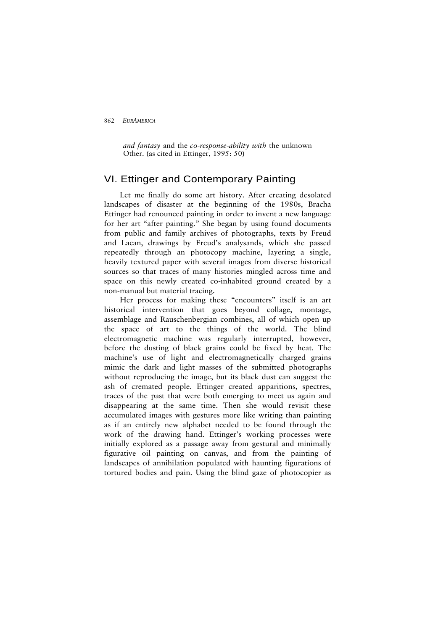*and fantasy* and the *co-response-ability with* the unknown Other. (as cited in Ettinger, 1995: 50)

## VI. Ettinger and Contemporary Painting

Let me finally do some art history. After creating desolated landscapes of disaster at the beginning of the 1980s, Bracha Ettinger had renounced painting in order to invent a new language for her art "after painting." She began by using found documents from public and family archives of photographs, texts by Freud and Lacan, drawings by Freud's analysands, which she passed repeatedly through an photocopy machine, layering a single, heavily textured paper with several images from diverse historical sources so that traces of many histories mingled across time and space on this newly created co-inhabited ground created by a non-manual but material tracing.

Her process for making these "encounters" itself is an art historical intervention that goes beyond collage, montage, assemblage and Rauschenbergian combines, all of which open up the space of art to the things of the world. The blind electromagnetic machine was regularly interrupted, however, before the dusting of black grains could be fixed by heat. The machine's use of light and electromagnetically charged grains mimic the dark and light masses of the submitted photographs without reproducing the image, but its black dust can suggest the ash of cremated people. Ettinger created apparitions, spectres, traces of the past that were both emerging to meet us again and disappearing at the same time. Then she would revisit these accumulated images with gestures more like writing than painting as if an entirely new alphabet needed to be found through the work of the drawing hand. Ettinger's working processes were initially explored as a passage away from gestural and minimally figurative oil painting on canvas, and from the painting of landscapes of annihilation populated with haunting figurations of tortured bodies and pain. Using the blind gaze of photocopier as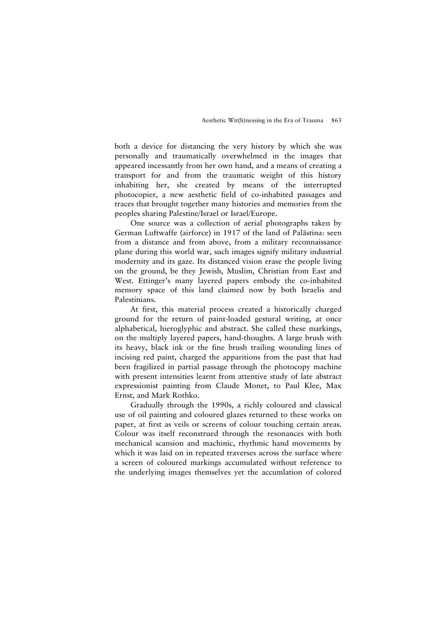both a device for distancing the very history by which she was personally and traumatically overwhelmed in the images that appeared incessantly from her own hand, and a means of creating a transport for and from the traumatic weight of this history inhabiting her, she created by means of the interrupted photocopier, a new aesthetic field of co-inhabited passages and traces that brought together many histories and memories from the peoples sharing Palestine/Israel or Israel/Europe.

One source was a collection of aerial photographs taken by German Luftwaffe (airforce) in 1917 of the land of Palästina: seen from a distance and from above, from a military reconnaissance plane during this world war, such images signify military industrial modernity and its gaze. Its distanced vision erase the people living on the ground, be they Jewish, Muslim, Christian from East and West. Ettinger's many layered papers embody the co-inhabited memory space of this land claimed now by both Israelis and Palestinians.

At first, this material process created a historically charged ground for the return of paint-loaded gestural writing, at once alphabetical, hieroglyphic and abstract. She called these markings, on the multiply layered papers, hand-thoughts. A large brush with its heavy, black ink or the fine brush trailing wounding lines of incising red paint, charged the apparitions from the past that had been fragilized in partial passage through the photocopy machine with present intensities learnt from attentive study of late abstract expressionist painting from Claude Monet, to Paul Klee, Max Ernst, and Mark Rothko.

Gradually through the 1990s, a richly coloured and classical use of oil painting and coloured glazes returned to these works on paper, at first as veils or screens of colour touching certain areas. Colour was itself reconstrued through the resonances with both mechanical scansion and machinic, rhythmic hand movements by which it was laid on in repeated traverses across the surface where a screen of coloured markings accumulated without reference to the underlying images themselves yet the accumlation of colored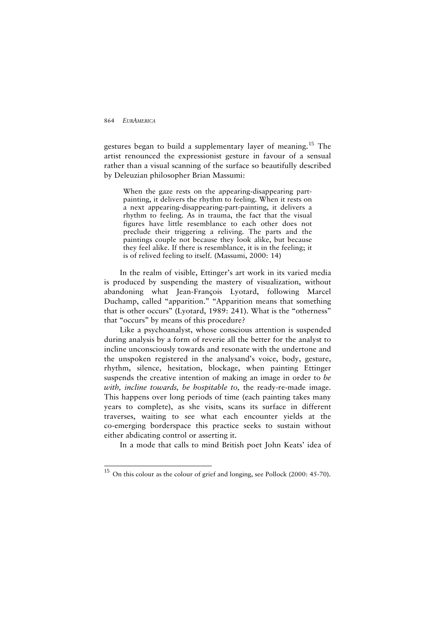j

gestures began to build a supplementary layer of meaning.[15](#page-35-0) The artist renounced the expressionist gesture in favour of a sensual rather than a visual scanning of the surface so beautifully described by Deleuzian philosopher Brian Massumi:

When the gaze rests on the appearing-disappearing partpainting, it delivers the rhythm to feeling. When it rests on a next appearing-disappearing-part-painting, it delivers a rhythm to feeling. As in trauma, the fact that the visual figures have little resemblance to each other does not preclude their triggering a reliving. The parts and the paintings couple not because they look alike, but because they feel alike. If there is resemblance, it is in the feeling; it is of relived feeling to itself. (Massumi, 2000: 14)

In the realm of visible, Ettinger's art work in its varied media is produced by suspending the mastery of visualization, without abandoning what Jean-François Lyotard, following Marcel Duchamp, called "apparition." "Apparition means that something that is other occurs" (Lyotard, 1989: 241). What is the "otherness" that "occurs" by means of this procedure?

Like a psychoanalyst, whose conscious attention is suspended during analysis by a form of reverie all the better for the analyst to incline unconsciously towards and resonate with the undertone and the unspoken registered in the analysand's voice, body, gesture, rhythm, silence, hesitation, blockage, when painting Ettinger suspends the creative intention of making an image in order to *be with, incline towards, be hospitable to,* the ready-re-made image. This happens over long periods of time (each painting takes many years to complete), as she visits, scans its surface in different traverses, waiting to see what each encounter yields at the co-emerging borderspace this practice seeks to sustain without either abdicating control or asserting it.

In a mode that calls to mind British poet John Keats' idea of

<span id="page-35-0"></span><sup>&</sup>lt;sup>15</sup> On this colour as the colour of grief and longing, see Pollock (2000: 45-70).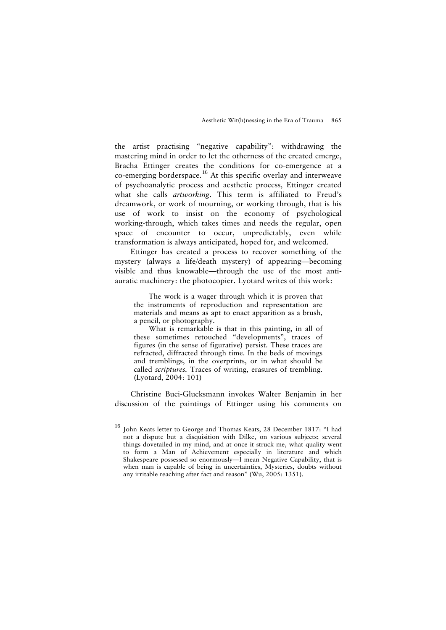the artist practising "negative capability": withdrawing the mastering mind in order to let the otherness of the created emerge, Bracha Ettinger creates the conditions for co-emergence at a co-emerging borderspace.<sup>[16](#page-36-0)</sup> At this specific overlay and interweave of psychoanalytic process and aesthetic process, Ettinger created what she calls *artworking*. This term is affiliated to Freud's dreamwork, or work of mourning, or working through, that is his use of work to insist on the economy of psychological working-through, which takes times and needs the regular, open space of encounter to occur, unpredictably, even while transformation is always anticipated, hoped for, and welcomed.

Ettinger has created a process to recover something of the mystery (always a life/death mystery) of appearing—becoming visible and thus knowable—through the use of the most antiauratic machinery: the photocopier. Lyotard writes of this work:

The work is a wager through which it is proven that the instruments of reproduction and representation are materials and means as apt to enact apparition as a brush, a pencil, or photography.

What is remarkable is that in this painting, in all of these sometimes retouched "developments", traces of figures (in the sense of figurative) persist. These traces are refracted, diffracted through time. In the beds of movings and tremblings, in the overprints, or in what should be called *scriptures.* Traces of writing, erasures of trembling. (Lyotard, 2004: 101)

Christine Buci-Glucksmann invokes Walter Benjamin in her discussion of the paintings of Ettinger using his comments on

j

<span id="page-36-0"></span><sup>16</sup> John Keats letter to George and Thomas Keats, 28 December 1817: "I had not a dispute but a disquisition with Dilke, on various subjects; several things dovetailed in my mind, and at once it struck me, what quality went to form a Man of Achievement especially in literature and which Shakespeare possessed so enormously—I mean Negative Capability, that is when man is capable of being in uncertainties, Mysteries, doubts without any irritable reaching after fact and reason" (Wu, 2005: 1351).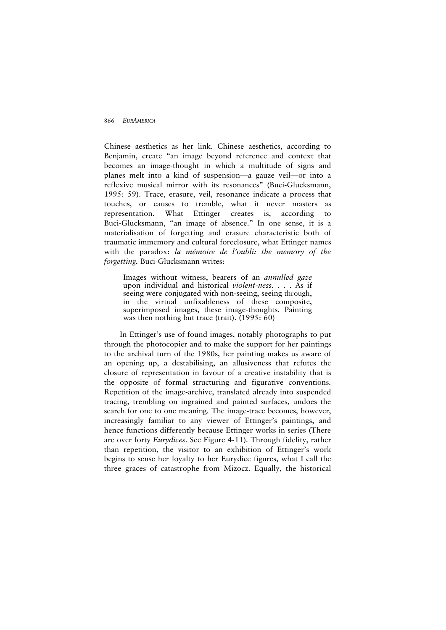Chinese aesthetics as her link. Chinese aesthetics, according to Benjamin, create "an image beyond reference and context that becomes an image-thought in which a multitude of signs and planes melt into a kind of suspension—a gauze veil—or into a reflexive musical mirror with its resonances" (Buci-Glucksmann, 1995: 59). Trace, erasure, veil, resonance indicate a process that touches, or causes to tremble, what it never masters as representation. What Ettinger creates is, according to Buci-Glucksmann, "an image of absence." In one sense, it is a materialisation of forgetting and erasure characteristic both of traumatic immemory and cultural foreclosure, what Ettinger names with the paradox: *la mémoire de l'oubli: the memory of the forgetting.* Buci-Glucksmann writes:

Images without witness, bearers of an *annulled gaze* upon individual and historical *violent-ness*. . . . As if seeing were conjugated with non-seeing, seeing through, in the virtual unfixableness of these composite, superimposed images, these image-thoughts. Painting was then nothing but trace (trait). (1995: 60)

In Ettinger's use of found images, notably photographs to put through the photocopier and to make the support for her paintings to the archival turn of the 1980s, her painting makes us aware of an opening up, a destabilising, an allusiveness that refutes the closure of representation in favour of a creative instability that is the opposite of formal structuring and figurative conventions. Repetition of the image-archive, translated already into suspended tracing, trembling on ingrained and painted surfaces, undoes the search for one to one meaning. The image-trace becomes, however, increasingly familiar to any viewer of Ettinger's paintings, and hence functions differently because Ettinger works in series (There are over forty *Eurydices*. See Figure 4-11). Through fidelity, rather than repetition, the visitor to an exhibition of Ettinger's work begins to sense her loyalty to her Eurydice figures, what I call the three graces of catastrophe from Mizocz. Equally, the historical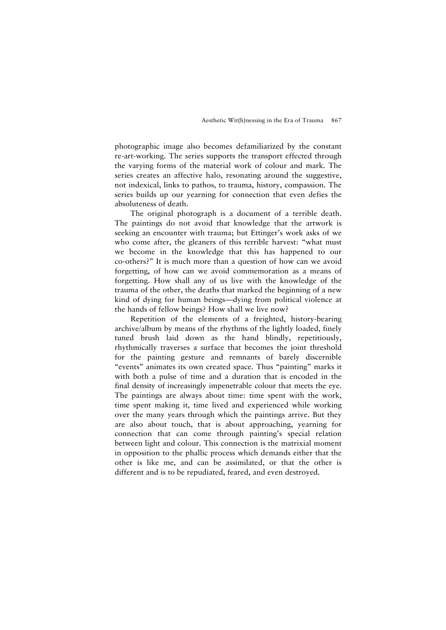photographic image also becomes defamiliarized by the constant re-art-working. The series supports the transport effected through the varying forms of the material work of colour and mark. The series creates an affective halo, resonating around the suggestive, not indexical, links to pathos, to trauma, history, compassion. The series builds up our yearning for connection that even defies the absoluteness of death.

The original photograph is a document of a terrible death. The paintings do not avoid that knowledge that the artwork is seeking an encounter with trauma; but Ettinger's work asks of we who come after, the gleaners of this terrible harvest: "what must we become in the knowledge that this has happened to our co-others?" It is much more than a question of how can we avoid forgetting, of how can we avoid commemoration as a means of forgetting. How shall any of us live with the knowledge of the trauma of the other, the deaths that marked the beginning of a new kind of dying for human beings—dying from political violence at the hands of fellow beings? How shall we live now?

Repetition of the elements of a freighted, history-bearing archive/album by means of the rhythms of the lightly loaded, finely tuned brush laid down as the hand blindly, repetitiously, rhythmically traverses a surface that becomes the joint threshold for the painting gesture and remnants of barely discernible "events" animates its own created space. Thus "painting" marks it with both a pulse of time and a duration that is encoded in the final density of increasingly impenetrable colour that meets the eye. The paintings are always about time: time spent with the work, time spent making it, time lived and experienced while working over the many years through which the paintings arrive. But they are also about touch, that is about approaching, yearning for connection that can come through painting's special relation between light and colour. This connection is the matrixial moment in opposition to the phallic process which demands either that the other is like me, and can be assimilated, or that the other is different and is to be repudiated, feared, and even destroyed.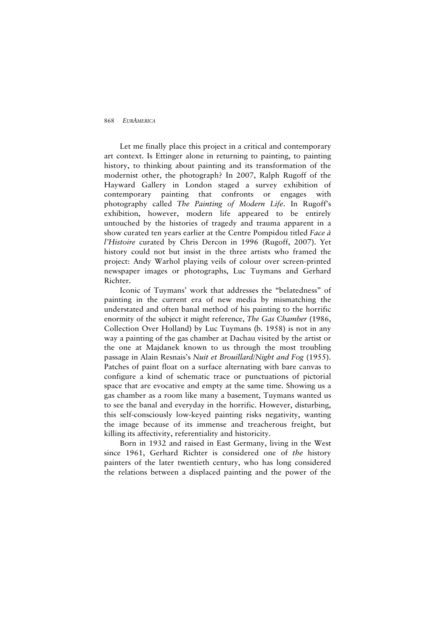Let me finally place this project in a critical and contemporary art context. Is Ettinger alone in returning to painting, to painting history, to thinking about painting and its transformation of the modernist other, the photograph? In 2007, Ralph Rugoff of the Hayward Gallery in London staged a survey exhibition of contemporary painting that confronts or engages with photography called *The Painting of Modern Life*. In Rugoff's exhibition, however, modern life appeared to be entirely untouched by the histories of tragedy and trauma apparent in a show curated ten years earlier at the Centre Pompidou titled *Face à l'Histoire* curated by Chris Dercon in 1996 (Rugoff, 2007). Yet history could not but insist in the three artists who framed the project: Andy Warhol playing veils of colour over screen-printed newspaper images or photographs, Luc Tuymans and Gerhard Richter.

Iconic of Tuymans' work that addresses the "belatedness" of painting in the current era of new media by mismatching the understated and often banal method of his painting to the horrific enormity of the subject it might reference, *The Gas Chamber* (1986, Collection Over Holland) by Luc Tuymans (b. 1958) is not in any way a painting of the gas chamber at Dachau visited by the artist or the one at Majdanek known to us through the most troubling passage in Alain Resnais's *Nuit et Brouillard/Night and Fog* (1955). Patches of paint float on a surface alternating with bare canvas to configure a kind of schematic trace or punctuations of pictorial space that are evocative and empty at the same time. Showing us a gas chamber as a room like many a basement, Tuymans wanted us to see the banal and everyday in the horrific. However, disturbing, this self-consciously low-keyed painting risks negativity, wanting the image because of its immense and treacherous freight, but killing its affectivity, referentiality and historicity.

Born in 1932 and raised in East Germany, living in the West since 1961, Gerhard Richter is considered one of *the* history painters of the later twentieth century, who has long considered the relations between a displaced painting and the power of the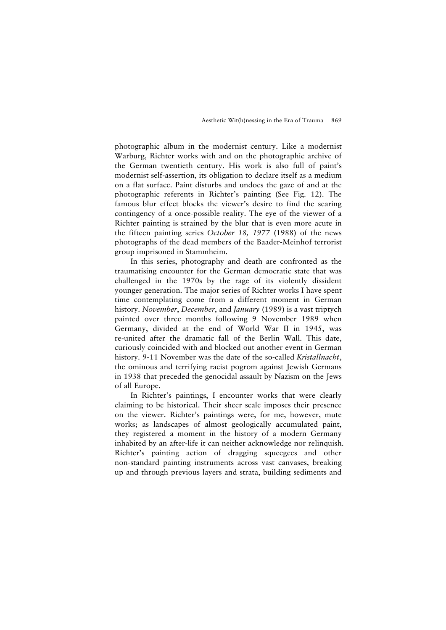photographic album in the modernist century. Like a modernist Warburg, Richter works with and on the photographic archive of the German twentieth century. His work is also full of paint's modernist self-assertion, its obligation to declare itself as a medium on a flat surface. Paint disturbs and undoes the gaze of and at the photographic referents in Richter's painting (See Fig. 12). The famous blur effect blocks the viewer's desire to find the searing contingency of a once-possible reality. The eye of the viewer of a Richter painting is strained by the blur that is even more acute in the fifteen painting series *October 18, 1977* (1988) of the news photographs of the dead members of the Baader-Meinhof terrorist group imprisoned in Stammheim.

In this series, photography and death are confronted as the traumatising encounter for the German democratic state that was challenged in the 1970s by the rage of its violently dissident younger generation. The major series of Richter works I have spent time contemplating come from a different moment in German history. *November*, *December*, and *January* (1989) is a vast triptych painted over three months following 9 November 1989 when Germany, divided at the end of World War II in 1945, was re-united after the dramatic fall of the Berlin Wall. This date, curiously coincided with and blocked out another event in German history. 9-11 November was the date of the so-called *Kristallnacht*, the ominous and terrifying racist pogrom against Jewish Germans in 1938 that preceded the genocidal assault by Nazism on the Jews of all Europe.

In Richter's paintings, I encounter works that were clearly claiming to be historical. Their sheer scale imposes their presence on the viewer. Richter's paintings were, for me, however, mute works; as landscapes of almost geologically accumulated paint, they registered a moment in the history of a modern Germany inhabited by an after-life it can neither acknowledge nor relinquish. Richter's painting action of dragging squeegees and other non-standard painting instruments across vast canvases, breaking up and through previous layers and strata, building sediments and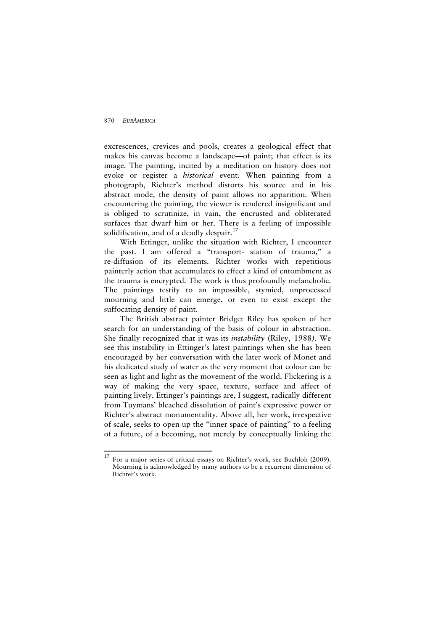excrescences, crevices and pools, creates a geological effect that makes his canvas become a landscape—of paint; that effect is its image. The painting, incited by a meditation on history does not evoke or register a *historical* event. When painting from a photograph, Richter's method distorts his source and in his abstract mode, the density of paint allows no apparition. When encountering the painting, the viewer is rendered insignificant and is obliged to scrutinize, in vain, the encrusted and obliterated surfaces that dwarf him or her. There is a feeling of impossible solidification, and of a deadly despair. $17$ 

With Ettinger, unlike the situation with Richter, I encounter the past. I am offered a "transport- station of trauma," a re-diffusion of its elements. Richter works with repetitious painterly action that accumulates to effect a kind of entombment as the trauma is encrypted. The work is thus profoundly melancholic. The paintings testify to an impossible, stymied, unprocessed mourning and little can emerge, or even to exist except the suffocating density of paint.

The British abstract painter Bridget Riley has spoken of her search for an understanding of the basis of colour in abstraction. She finally recognized that it was its *instability* (Riley, 1988*)*. We see this instability in Ettinger's latest paintings when she has been encouraged by her conversation with the later work of Monet and his dedicated study of water as the very moment that colour can be seen as light and light as the movement of the world. Flickering is a way of making the very space, texture, surface and affect of painting lively. Ettinger's paintings are, I suggest, radically different from Tuymans' bleached dissolution of paint's expressive power or Richter's abstract monumentality. Above all, her work, irrespective of scale, seeks to open up the "inner space of painting" to a feeling of a future, of a becoming, not merely by conceptually linking the

<span id="page-41-0"></span><sup>17</sup> <sup>17</sup> For a major series of critical essays on Richter's work, see Buchloh (2009). Mourning is acknowledged by many authors to be a recurrent dimension of Richter's work.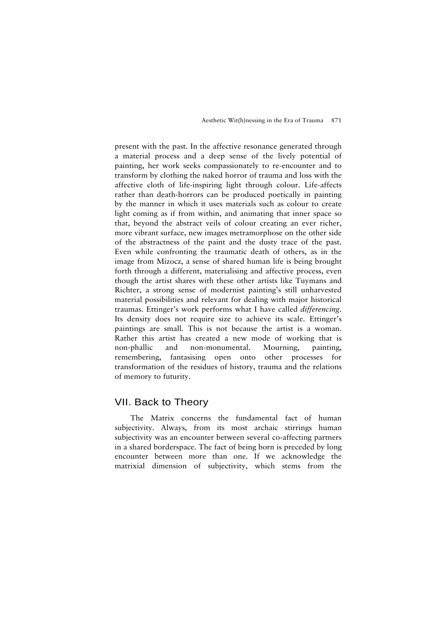present with the past. In the affective resonance generated through a material process and a deep sense of the lively potential of painting, her work seeks compassionately to re-encounter and to transform by clothing the naked horror of trauma and loss with the affective cloth of life-inspiring light through colour. Life-affects rather than death-horrors can be produced poetically in painting by the manner in which it uses materials such as colour to create light coming as if from within, and animating that inner space so that, beyond the abstract veils of colour creating an ever richer, more vibrant surface, new images metramorphose on the other side of the abstractness of the paint and the dusty trace of the past. Even while confronting the traumatic death of others, as in the image from Mizocz, a sense of shared human life is being brought forth through a different, materialising and affective process, even though the artist shares with these other artists like Tuymans and Richter, a strong sense of modernist painting's still unharvested material possibilities and relevant for dealing with major historical traumas. Ettinger's work performs what I have called *differencing*. Its density does not require size to achieve its scale. Ettinger's paintings are small. This is not because the artist is a woman. Rather this artist has created a new mode of working that is non-phallic and non-monumental. Mourning, painting, remembering, fantasising open onto other processes for transformation of the residues of history, trauma and the relations of memory to futurity.

## VII. Back to Theory

The Matrix concerns the fundamental fact of human subjectivity. Always, from its most archaic stirrings human subjectivity was an encounter between several co-affecting partners in a shared borderspace. The fact of being born is preceded by long encounter between more than one. If we acknowledge the matrixial dimension of subjectivity, which stems from the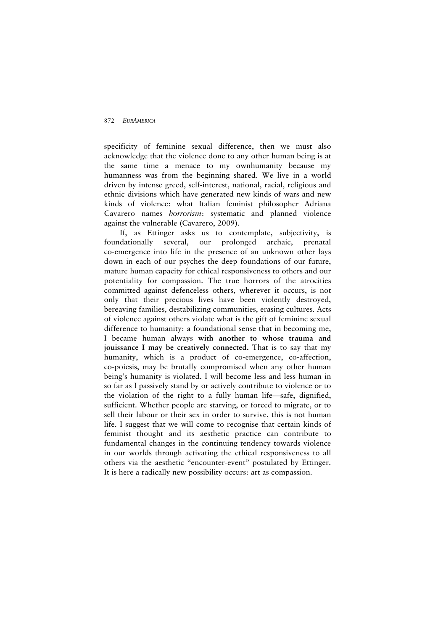specificity of feminine sexual difference, then we must also acknowledge that the violence done to any other human being is at the same time a menace to my ownhumanity because my humanness was from the beginning shared. We live in a world driven by intense greed, self-interest, national, racial, religious and ethnic divisions which have generated new kinds of wars and new kinds of violence: what Italian feminist philosopher Adriana Cavarero names *horrorism*: systematic and planned violence against the vulnerable (Cavarero, 2009).

If, as Ettinger asks us to contemplate, subjectivity, is foundationally several, our prolonged archaic, prenatal co-emergence into life in the presence of an unknown other lays down in each of our psyches the deep foundations of our future, mature human capacity for ethical responsiveness to others and our potentiality for compassion. The true horrors of the atrocities committed against defenceless others, wherever it occurs, is not only that their precious lives have been violently destroyed, bereaving families, destabilizing communities, erasing cultures. Acts of violence against others violate what is the gift of feminine sexual difference to humanity: a foundational sense that in becoming me, I became human always **with another to whose trauma and jouissance I may be creatively connected.** That is to say that my humanity, which is a product of co-emergence, co-affection, co-poiesis, may be brutally compromised when any other human being's humanity is violated. I will become less and less human in so far as I passively stand by or actively contribute to violence or to the violation of the right to a fully human life—safe, dignified, sufficient. Whether people are starving, or forced to migrate, or to sell their labour or their sex in order to survive, this is not human life. I suggest that we will come to recognise that certain kinds of feminist thought and its aesthetic practice can contribute to fundamental changes in the continuing tendency towards violence in our worlds through activating the ethical responsiveness to all others via the aesthetic "encounter-event" postulated by Ettinger. It is here a radically new possibility occurs: art as compassion.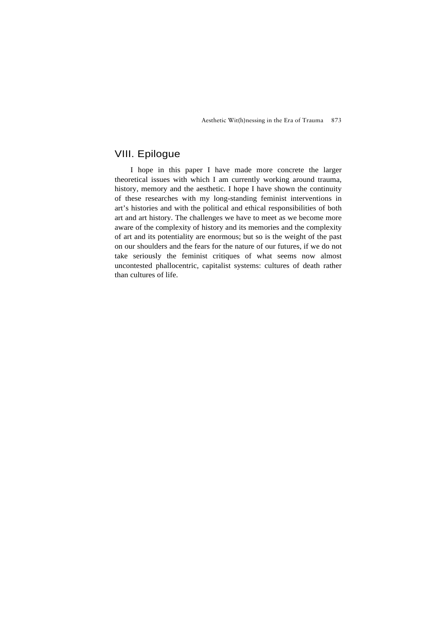# VIII. Epilogue

I hope in this paper I have made more concrete the larger theoretical issues with which I am currently working around trauma, history, memory and the aesthetic. I hope I have shown the continuity of these researches with my long-standing feminist interventions in art's histories and with the political and ethical responsibilities of both art and art history. The challenges we have to meet as we become more aware of the complexity of history and its memories and the complexity of art and its potentiality are enormous; but so is the weight of the past on our shoulders and the fears for the nature of our futures, if we do not take seriously the feminist critiques of what seems now almost uncontested phallocentric, capitalist systems: cultures of death rather than cultures of life.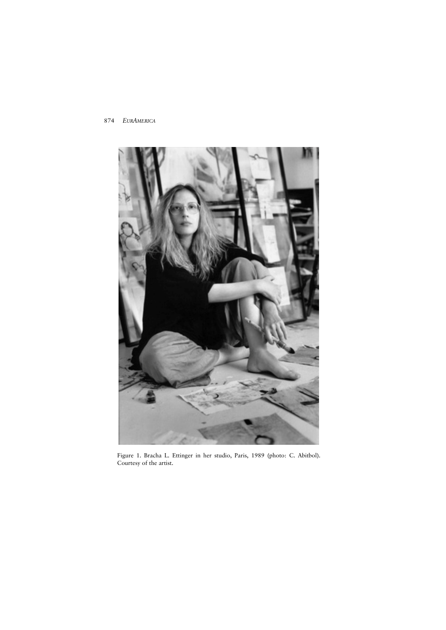

Figure 1. Bracha L. Ettinger in her studio, Paris, 1989 (photo: C. Abitbol). Courtesy of the artist.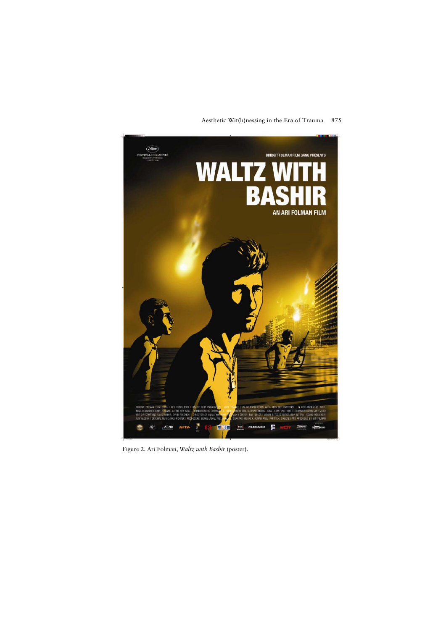# **EXECUTE CANNES BRIDGIT FOLMAN FILM GANG PRESENTS WALTZ** B  $\pmb{\Lambda}$ AN ARI FOLMAN FILM  $\mathbb{R}$   $_{r}$  dazor arta ř F 魯 DELBOLAN  $\begin{bmatrix} \text{mvs} \\ \text{mbar} \end{bmatrix}$ 囥 빪

## Aesthetic Wit(h)nessing in the Era of Trauma 875

Figure 2. Ari Folman, *Waltz with Bashir* (poster).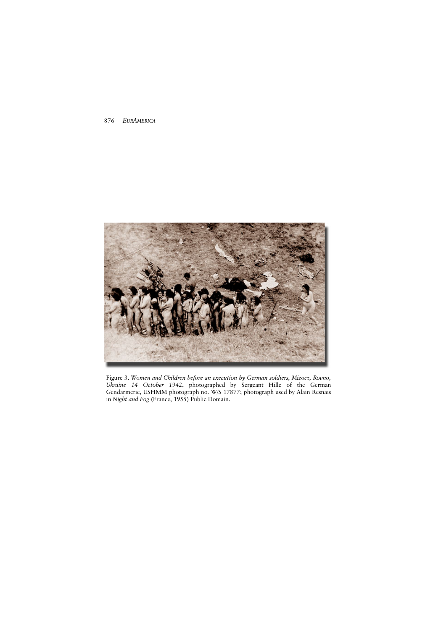

Figure 3. *Women and Children before an execution by German soldiers, Mizocz, Rovno, Ukraine 14 October 1942*, photographed by Sergeant Hille of the German Gendarmerie, USHMM photograph no. W/S 17877; photograph used by Alain Resnais in *Night and Fog* (France, 1955) Public Domain.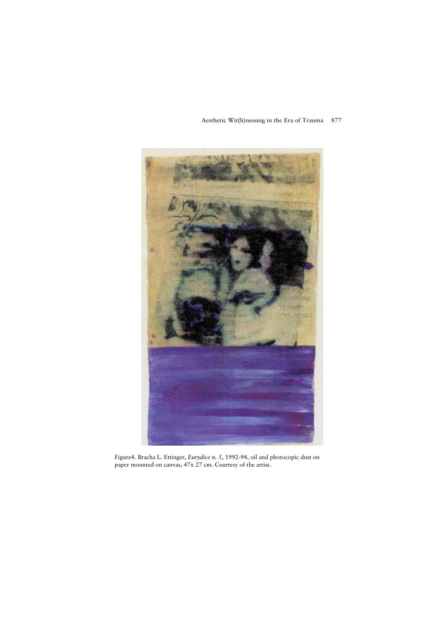

Figure4. Bracha L. Ettinger, *Eurydice n. 5*, 1992-94, oil and photocopic dust on paper mounted on canvas, 47x 27 cm. Courtesy of the artist.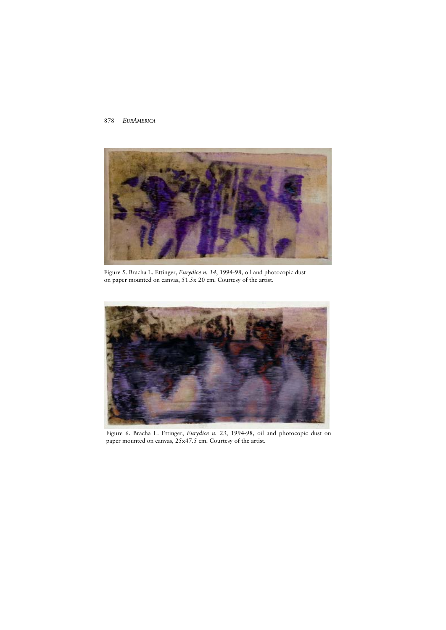

Figure 5. Bracha L. Ettinger, *Eurydice n. 14*, 1994-98, oil and photocopic dust on paper mounted on canvas, 51.5x 20 cm. Courtesy of the artist.



Figure 6. Bracha L. Ettinger, *Eurydice n. 23*, 1994-98, oil and photocopic dust on paper mounted on canvas, 25x47.5 cm. Courtesy of the artist.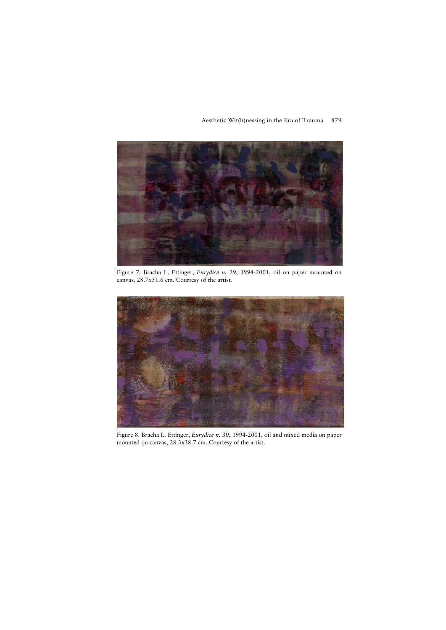## Aesthetic Wit(h)nessing in the Era of Trauma 879



Figure 7. Bracha L. Ettinger, *Eurydice n. 29*, 1994-2001, oil on paper mounted on canvas, 28.7x51.6 cm. Courtesy of the artist.



Figure 8. Bracha L. Ettinger, *Eurydice n. 30*, 1994-2001, oil and mixed media on paper mounted on canvas, 28.3x38.7 cm. Courtesy of the artist.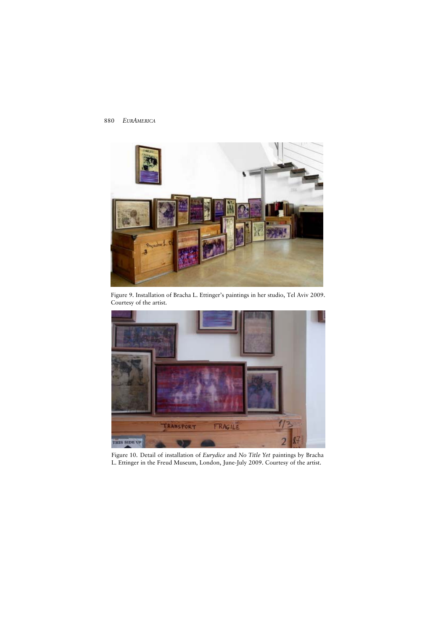

Figure 9. Installation of Bracha L. Ettinger's paintings in her studio, Tel Aviv 2009. Courtesy of the artist.



Figure 10. Detail of installation of *Eurydice* and *No Title Yet* paintings by Bracha L. Ettinger in the Freud Museum, London, June-July 2009. Courtesy of the artist.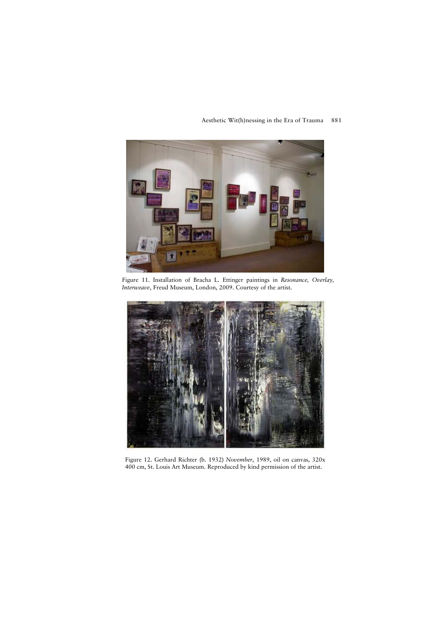

## Aesthetic Wit(h)nessing in the Era of Trauma 881

Figure 11. Installation of Bracha L. Ettinger paintings in *Resonance, Overlay, Interweave*, Freud Museum, London, 2009. Courtesy of the artist.



Figure 12. Gerhard Richter (b. 1932) *November*, 1989, oil on canvas, 320x 400 cm, St. Louis Art Museum. Reproduced by kind permission of the artist.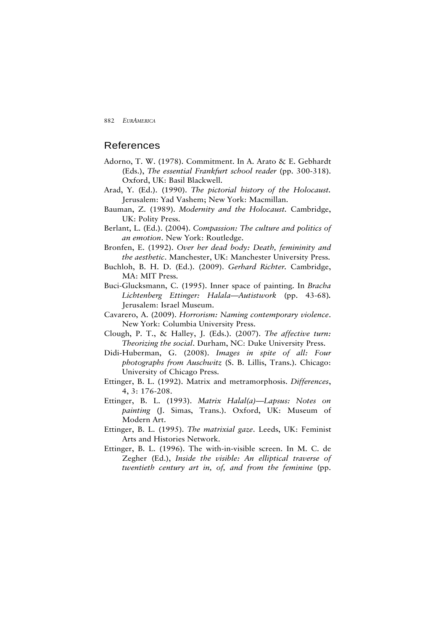## References

- Adorno, T. W. (1978). Commitment. In A. Arato & E. Gebhardt (Eds.), *The essential Frankfurt school reader* (pp. 300-318). Oxford, UK: Basil Blackwell.
- Arad, Y. (Ed.). (1990). *The pictorial history of the Holocaust.* Jerusalem: Yad Vashem; New York: Macmillan.
- Bauman, Z. (1989). *Modernity and the Holocaust.* Cambridge, UK: Polity Press.
- Berlant, L. (Ed.). (2004). *Compassion: The culture and politics of an emotion*. New York: Routledge.
- Bronfen, E. (1992). *Over her dead body: Death, femininity and the aesthetic*. Manchester, UK: Manchester University Press.
- Buchloh, B. H. D. (Ed.). (2009). *Gerhard Richter.* Cambridge, MA: MIT Press.
- Buci-Glucksmann, C. (1995). Inner space of painting. In *Bracha Lichtenberg Ettinger: Halala—Autistwork* (pp. 43-68)*.* Jerusalem: Israel Museum.
- Cavarero, A. (2009). *Horrorism: Naming contemporary violence*. New York: Columbia University Press.
- Clough, P. T., & Halley, J. (Eds.). (2007). *The affective turn: Theorizing the social*. Durham, NC: Duke University Press.
- Didi-Huberman, G. (2008). *Images in spite of all: Four photographs from Auschwitz* (S. B. Lillis, Trans.). Chicago: University of Chicago Press.
- Ettinger, B. L. (1992). Matrix and metramorphosis. *Differences*, 4, 3: 176-208.
- Ettinger, B. L. (1993). *Matrix Halal(a)—Lapsus: Notes on painting* (J. Simas, Trans.). Oxford, UK: Museum of Modern Art.
- Ettinger, B. L. (1995). *The matrixial gaze*. Leeds, UK: Feminist Arts and Histories Network.
- Ettinger, B. L. (1996). The with-in-visible screen. In M. C. de Zegher (Ed.), *Inside the visible: An elliptical traverse of twentieth century art in, of, and from the feminine* (pp.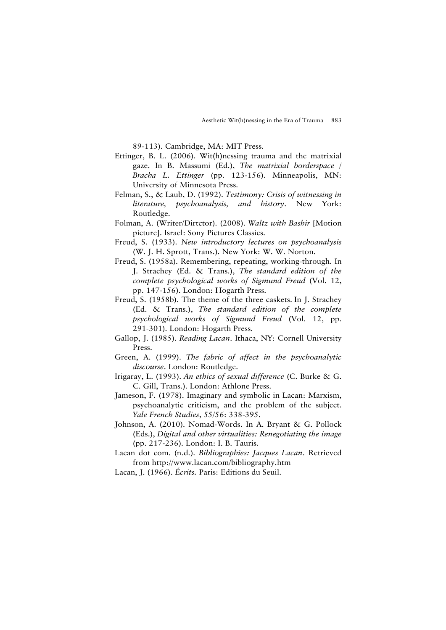89-113). Cambridge, MA: MIT Press.

- Ettinger, B. L. (2006). Wit(h)nessing trauma and the matrixial gaze. In B. Massumi (Ed.), *The matrixial borderspace / Bracha L. Ettinger* (pp. 123-156). Minneapolis, MN: University of Minnesota Press.
- Felman, S., & Laub, D. (1992). *Testimony: Crisis of witnessing in literature, psychoanalysis, and history*. New York: Routledge.
- Folman, A. (Writer/Dirtctor). (2008). *Waltz with Bashir* [Motion picture]. Israel: Sony Pictures Classics.
- Freud, S. (1933). *New introductory lectures on psychoanalysis* (W. J. H. Sprott, Trans.). New York: W. W. Norton.
- Freud, S. (1958a). Remembering, repeating, working-through. In J. Strachey (Ed. & Trans.), *The standard edition of the complete psychological works of Sigmund Freud* (Vol. 12, pp. 147-156). London: Hogarth Press.
- Freud, S. (1958b). The theme of the three caskets. In J. Strachey (Ed. & Trans.), *The standard edition of the complete psychological works of Sigmund Freud* (Vol. 12, pp. 291-301). London: Hogarth Press.
- Gallop, J. (1985). *Reading Lacan*. Ithaca, NY: Cornell University Press.
- Green, A. (1999). *The fabric of affect in the psychoanalytic discourse*. London: Routledge.
- Irigaray, L. (1993). *An ethics of sexual difference* (C. Burke & G. C. Gill, Trans.). London: Athlone Press.
- Jameson, F. (1978). Imaginary and symbolic in Lacan: Marxism, psychoanalytic criticism, and the problem of the subject. *Yale French Studies*, 55/56: 338-395.
- Johnson, A. (2010). Nomad-Words. In A. Bryant & G. Pollock (Eds.), *Digital and other virtualities: Renegotiating the image* (pp. 217-236). London: I. B. Tauris.
- Lacan dot com. (n.d.). *Bibliographies: Jacques Lacan*. Retrieved from <http://www.lacan.com/bibliography.htm>
- Lacan, J. (1966). *Écrits.* Paris: Editions du Seuil.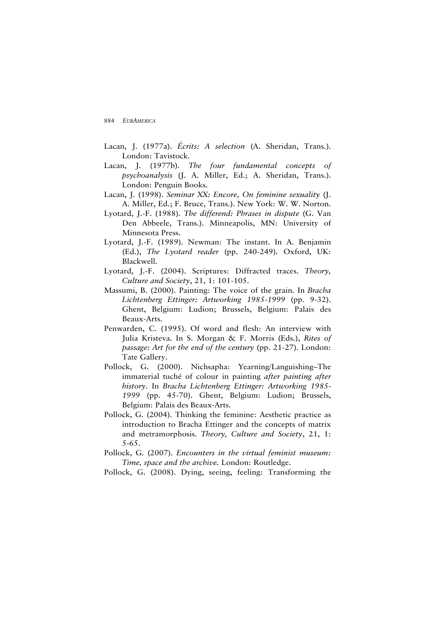- Lacan, J. (1977a). *Écrits: A selection* (A. Sheridan, Trans.). London: Tavistock.
- Lacan, J. (1977b). *The four fundamental concepts of psychoanalysis* (J. A. Miller, Ed.; A. Sheridan, Trans.). London: Penguin Books.
- Lacan, J. (1998). *Seminar XX: Encore, On feminine sexuality* (J. A. Miller, Ed.; F. Bruce, Trans.). New York: W. W. Norton.
- Lyotard, J.-F. (1988). *The differend: Phrases in dispute* (G. Van Den Abbeele, Trans.). Minneapolis, MN: University of Minnesota Press.
- Lyotard, J.-F. (1989). Newman: The instant. In A. Benjamin (Ed.), *The Lyotard reader* (pp. 240-249)*.* Oxford, UK: Blackwell.
- Lyotard, J.-F. (2004). Scriptures: Diffracted traces. *Theory, Culture and Society*, 21, 1: 101-105.
- Massumi, B. (2000). Painting: The voice of the grain. In *Bracha Lichtenberg Ettinger: Artworking 1985-1999* (pp. 9-32). Ghent, Belgium: Ludion; Brussels, Belgium: Palais des Beaux-Arts.
- Penwarden, C. (1995). Of word and flesh: An interview with Julia Kristeva. In S. Morgan & F. Morris (Eds.), *Rites of passage: Art for the end of the century* (pp. 21-27). London: Tate Gallery.
- Pollock, G. (2000). Nichsapha: Yearning/Languishing–The immaterial tuché of colour in painting *after painting after history*. In *Bracha Lichtenberg Ettinger: Artworking 1985- 1999* (pp. 45-70). Ghent, Belgium: Ludion; Brussels, Belgium: Palais des Beaux-Arts.
- Pollock, G. (2004). Thinking the feminine: Aesthetic practice as introduction to Bracha Ettinger and the concepts of matrix and metramorphosis. *Theory, Culture and Society*, 21, 1: 5-65.
- Pollock, G. (2007). *Encounters in the virtual feminist museum: Time, space and the archive.* London: Routledge.
- Pollock, G. (2008). Dying, seeing, feeling: Transforming the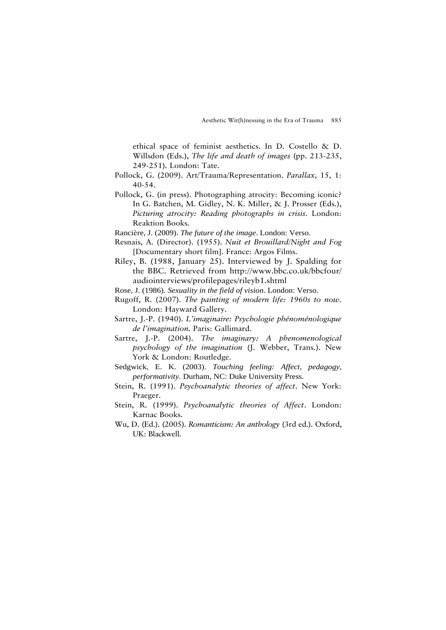ethical space of feminist aesthetics. In D. Costello & D. Willsdon (Eds.), *The life and death of images* (pp. 213-235, 249-251)*.* London: Tate.

- Pollock, G. (2009). Art/Trauma/Representation. *Parallax*, 15, 1: 40-54.
- Pollock, G. (in press). Photographing atrocity: Becoming iconic? In G. Batchen, M. Gidley, N. K. Miller, & J. Prosser (Eds.), *Picturing atrocity: Reading photographs in crisis*. London: Reaktion Books.
- Rancière, J. (2009). *The future of the image*. London: Verso.
- Resnais, A. (Director). (1955). *Nuit et Brouillard/Night and Fog* [Documentary short film]. France: Argos Films.
- Riley, B. (1988, January 25). Interviewed by J. Spalding for the BBC. Retrieved from <http://www.bbc.co.uk/bbcfour/> audiointerviews/profilepages/rileyb1.shtml
- Rose, J. (1986). *Sexuality in the field of vision*. London: Verso.
- Rugoff, R. (2007). *The painting of modern life: 1960s to now*. London: Hayward Gallery.
- Sartre, J.-P. (1940). *L'imaginaire: Psychologie phénoménologique de l'imagination.* Paris: Gallimard.
- Sartre, J.-P. (2004). *The imaginary: A phenomenological psychology of the imagination* (J. Webber, Trans.). New York & London: Routledge.
- Sedgwick, E. K. (2003). *Touching feeling: Affect, pedagogy, performativity.* Durham, NC: Duke University Press.
- Stein, R. (1991). *Psychoanalytic theories of affect*. New York: Praeger.
- Stein, R. (1999). *Psychoanalytic theories of Affect*. London: Karnac Books.
- Wu, D. (Ed.). (2005). *Romanticism: An anthology* (3rd ed.). Oxford, UK: Blackwell.